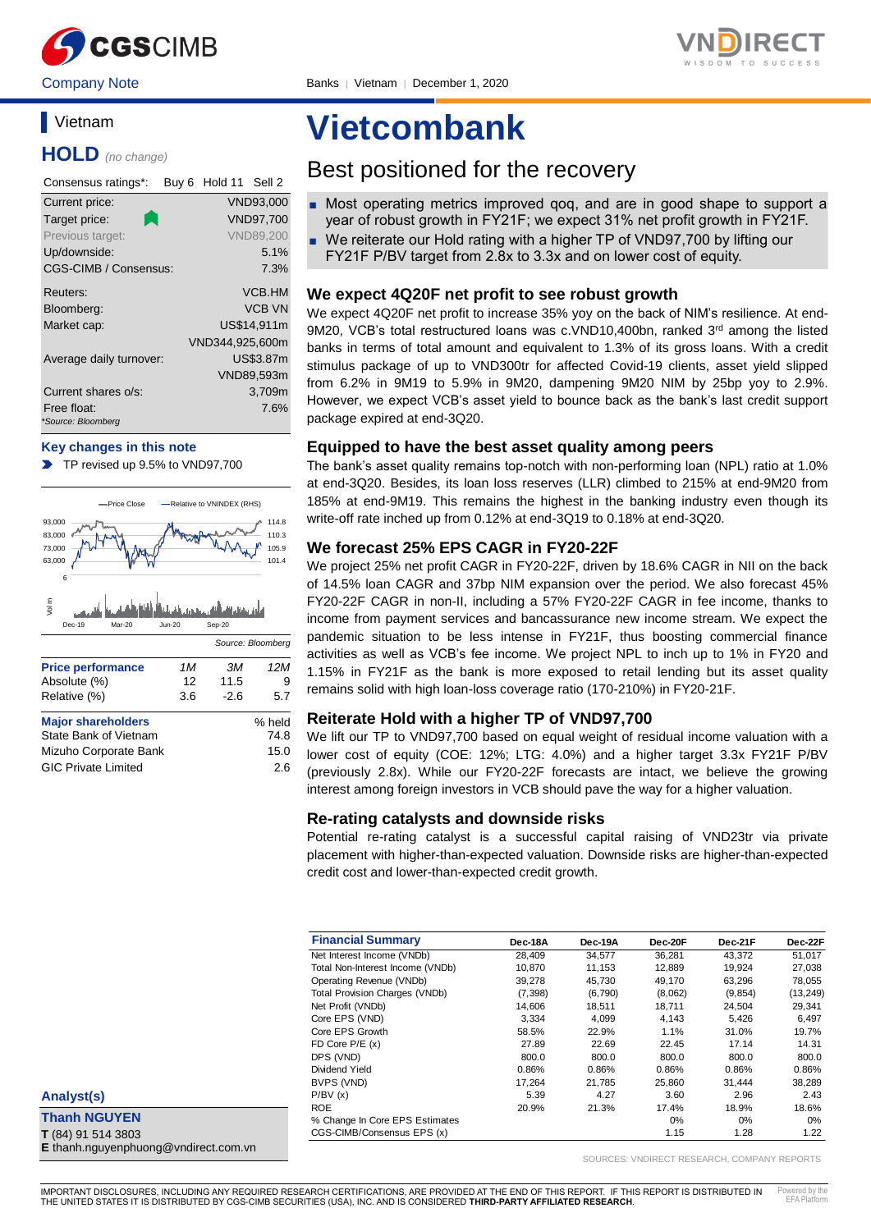

Company Note Banks │ Vietnam │ December 1, 2020

## **Vietnam**

**HOLD** *(no change)*

| Consensus ratings*:               | Hold 11 Sell 2<br>Buy 6 |
|-----------------------------------|-------------------------|
| Current price:                    | VND93,000               |
| Target price:                     | VND97,700               |
| Previous target:                  | <b>VND89.200</b>        |
| Up/downside:                      | 5.1%                    |
| <b>CGS-CIMB / Consensus:</b>      | 7.3%                    |
| Reuters:                          | <b>VCB.HM</b>           |
| Bloomberg:                        | <b>VCB VN</b>           |
| Market cap:                       | US\$14.911m             |
|                                   | VND344,925,600m         |
| Average daily turnover:           | <b>US\$3.87m</b>        |
|                                   | VND89,593m              |
| Current shares o/s:               | 3,709m                  |
| Free float:<br>*Source: Bloomberg | 7.6%                    |

## **Key changes in this note**

TP revised up 9.5% to VND97,700  $\blacksquare$ 



| Mizuho Corporate Bank      | 15.0 |
|----------------------------|------|
| <b>GIC Private Limited</b> | 2.6  |

# **Vietcombank**

## Best positioned for the recovery

- Most operating metrics improved gog, and are in good shape to support a year of robust growth in FY21F; we expect 31% net profit growth in FY21F.
- We reiterate our Hold rating with a higher TP of VND97,700 by lifting our FY21F P/BV target from 2.8x to 3.3x and on lower cost of equity.

## **We expect 4Q20F net profit to see robust growth**

We expect 4Q20F net profit to increase 35% yoy on the back of NIM's resilience. At end-9M20, VCB's total restructured loans was c.VND10,400bn, ranked 3<sup>rd</sup> among the listed banks in terms of total amount and equivalent to 1.3% of its gross loans. With a credit stimulus package of up to VND300tr for affected Covid-19 clients, asset yield slipped from 6.2% in 9M19 to 5.9% in 9M20, dampening 9M20 NIM by 25bp yoy to 2.9%. However, we expect VCB's asset yield to bounce back as the bank's last credit support package expired at end-3Q20.

## **Equipped to have the best asset quality among peers**

The bank's asset quality remains top-notch with non-performing loan (NPL) ratio at 1.0% at end-3Q20. Besides, its loan loss reserves (LLR) climbed to 215% at end-9M20 from 185% at end-9M19. This remains the highest in the banking industry even though its write-off rate inched up from 0.12% at end-3Q19 to 0.18% at end-3Q20.

## **We forecast 25% EPS CAGR in FY20-22F**

We project 25% net profit CAGR in FY20-22F, driven by 18.6% CAGR in NII on the back of 14.5% loan CAGR and 37bp NIM expansion over the period. We also forecast 45% FY20-22F CAGR in non-II, including a 57% FY20-22F CAGR in fee income, thanks to income from payment services and bancassurance new income stream. We expect the pandemic situation to be less intense in FY21F, thus boosting commercial finance activities as well as VCB's fee income. We project NPL to inch up to 1% in FY20 and 1.15% in FY21F as the bank is more exposed to retail lending but its asset quality remains solid with high loan-loss coverage ratio (170-210%) in FY20-21F.

## **Reiterate Hold with a higher TP of VND97,700**

We lift our TP to VND97,700 based on equal weight of residual income valuation with a lower cost of equity (COE: 12%; LTG: 4.0%) and a higher target 3.3x FY21F P/BV (previously 2.8x). While our FY20-22F forecasts are intact, we believe the growing interest among foreign investors in VCB should pave the way for a higher valuation.

## **Re-rating catalysts and downside risks**

Potential re-rating catalyst is a successful capital raising of VND23tr via private placement with higher-than-expected valuation. Downside risks are higher-than-expected credit cost and lower-than-expected credit growth.

| <b>Financial Summary</b>              | Dec-18A  | Dec-19A | Dec-20F | Dec-21F  | Dec-22F   |
|---------------------------------------|----------|---------|---------|----------|-----------|
| Net Interest Income (VNDb)            | 28,409   | 34,577  | 36,281  | 43,372   | 51,017    |
| Total Non-Interest Income (VNDb)      | 10.870   | 11.153  | 12.889  | 19.924   | 27.038    |
| Operating Revenue (VNDb)              | 39.278   | 45.730  | 49.170  | 63.296   | 78.055    |
| <b>Total Provision Charges (VNDb)</b> | (7, 398) | (6,790) | (8,062) | (9, 854) | (13, 249) |
| Net Profit (VNDb)                     | 14.606   | 18.511  | 18.711  | 24.504   | 29,341    |
| Core EPS (VND)                        | 3.334    | 4.099   | 4,143   | 5.426    | 6,497     |
| Core EPS Growth                       | 58.5%    | 22.9%   | 1.1%    | 31.0%    | 19.7%     |
| FD Core $P/E(x)$                      | 27.89    | 22.69   | 22.45   | 17.14    | 14.31     |
| DPS (VND)                             | 800.0    | 800.0   | 800.0   | 800.0    | 800.0     |
| Dividend Yield                        | 0.86%    | 0.86%   | 0.86%   | 0.86%    | 0.86%     |
| BVPS (VND)                            | 17.264   | 21.785  | 25.860  | 31.444   | 38.289    |
| P/BV(x)                               | 5.39     | 4.27    | 3.60    | 2.96     | 2.43      |
| <b>ROE</b>                            | 20.9%    | 21.3%   | 17.4%   | 18.9%    | 18.6%     |
| % Change In Core EPS Estimates        |          |         | $0\%$   | $0\%$    | 0%        |
| CGS-CIMB/Consensus EPS (x)            |          |         | 1.15    | 1.28     | 1.22      |

SOURCES: VNDIRECT RESEARCH, COMPANY REPORTS

**Thanh NGUYEN T** (84) 91 514 3803 **E** thanh.nguyenphuong@vndirect.com.vn

**Analyst(s)**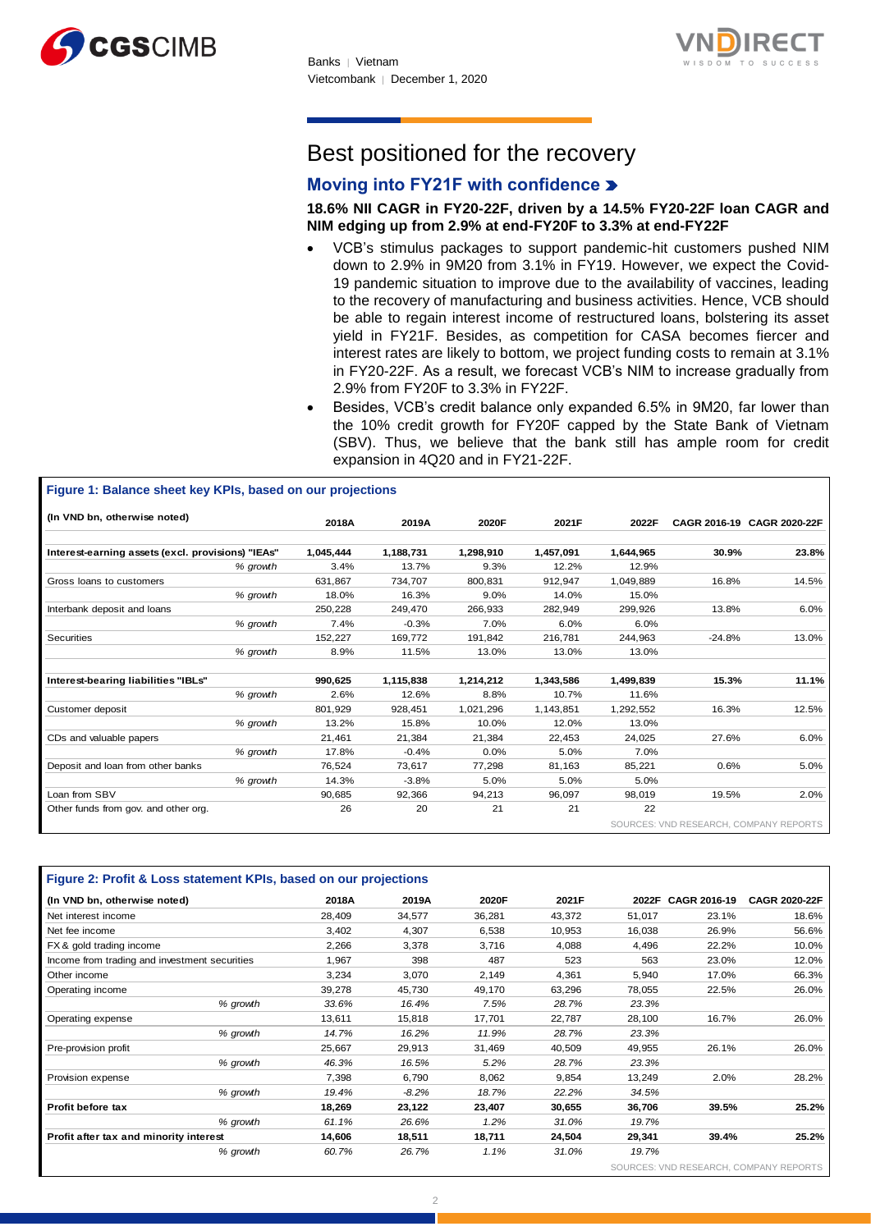



# Best positioned for the recovery

## **Moving into FY21F with confidence**

**18.6% NII CAGR in FY20-22F, driven by a 14.5% FY20-22F loan CAGR and NIM edging up from 2.9% at end-FY20F to 3.3% at end-FY22F**

- VCB's stimulus packages to support pandemic-hit customers pushed NIM down to 2.9% in 9M20 from 3.1% in FY19. However, we expect the Covid-19 pandemic situation to improve due to the availability of vaccines, leading to the recovery of manufacturing and business activities. Hence, VCB should be able to regain interest income of restructured loans, bolstering its asset yield in FY21F. Besides, as competition for CASA becomes fiercer and interest rates are likely to bottom, we project funding costs to remain at 3.1% in FY20-22F. As a result, we forecast VCB's NIM to increase gradually from 2.9% from FY20F to 3.3% in FY22F.
- Besides, VCB's credit balance only expanded 6.5% in 9M20, far lower than the 10% credit growth for FY20F capped by the State Bank of Vietnam (SBV). Thus, we believe that the bank still has ample room for credit expansion in 4Q20 and in FY21-22F.

| (In VND bn, otherwise noted)                      |          | 2018A     | 2019A     | 2020F     | 2021F     | 2022F     |          | CAGR 2016-19 CAGR 2020-22F |
|---------------------------------------------------|----------|-----------|-----------|-----------|-----------|-----------|----------|----------------------------|
| Interest-earning assets (excl. provisions) "IEAs" |          | 1,045,444 | 1,188,731 | 1,298,910 | 1,457,091 | 1,644,965 | 30.9%    | 23.8%                      |
|                                                   | % growth | 3.4%      | 13.7%     | 9.3%      | 12.2%     | 12.9%     |          |                            |
| Gross loans to customers                          |          | 631.867   | 734,707   | 800,831   | 912,947   | 1,049,889 | 16.8%    | 14.5%                      |
|                                                   | % growth | 18.0%     | 16.3%     | 9.0%      | 14.0%     | 15.0%     |          |                            |
| Interbank deposit and loans                       |          | 250,228   | 249,470   | 266,933   | 282,949   | 299,926   | 13.8%    | 6.0%                       |
|                                                   | % growth | 7.4%      | $-0.3%$   | 7.0%      | 6.0%      | 6.0%      |          |                            |
| Securities                                        |          | 152,227   | 169,772   | 191,842   | 216,781   | 244,963   | $-24.8%$ | 13.0%                      |
|                                                   | % growth | 8.9%      | 11.5%     | 13.0%     | 13.0%     | 13.0%     |          |                            |
| Interest-bearing liabilities "IBLs"               |          | 990.625   | 1,115,838 | 1,214,212 | 1,343,586 | 1.499.839 | 15.3%    | 11.1%                      |
|                                                   | % growth | 2.6%      | 12.6%     | 8.8%      | 10.7%     | 11.6%     |          |                            |
| Customer deposit                                  |          | 801,929   | 928,451   | 1,021,296 | 1,143,851 | 1,292,552 | 16.3%    | 12.5%                      |
|                                                   | % growth | 13.2%     | 15.8%     | 10.0%     | 12.0%     | 13.0%     |          |                            |
| CDs and valuable papers                           |          | 21,461    | 21,384    | 21,384    | 22,453    | 24,025    | 27.6%    | 6.0%                       |
|                                                   | % growth | 17.8%     | $-0.4%$   | 0.0%      | 5.0%      | 7.0%      |          |                            |
| Deposit and loan from other banks                 |          | 76,524    | 73,617    | 77,298    | 81,163    | 85,221    | 0.6%     | 5.0%                       |
|                                                   | % growth | 14.3%     | $-3.8%$   | 5.0%      | 5.0%      | 5.0%      |          |                            |
| Loan from SBV                                     |          | 90.685    | 92,366    | 94,213    | 96,097    | 98.019    | 19.5%    | 2.0%                       |
| Other funds from gov. and other org.              |          | 26        | 20        | 21        | 21        | 22        |          |                            |

| (In VND bn, otherwise noted)                  | 2018A  | 2019A    | 2020F  | 2021F  | 2022F  | CAGR 2016-19           | <b>CAGR 2020-22F</b>   |
|-----------------------------------------------|--------|----------|--------|--------|--------|------------------------|------------------------|
| Net interest income                           | 28,409 | 34,577   | 36,281 | 43,372 | 51,017 | 23.1%                  | 18.6%                  |
| Net fee income                                | 3,402  | 4,307    | 6,538  | 10,953 | 16,038 | 26.9%                  | 56.6%                  |
| FX & gold trading income                      | 2,266  | 3,378    | 3,716  | 4,088  | 4,496  | 22.2%                  | 10.0%                  |
| Income from trading and investment securities | 1,967  | 398      | 487    | 523    | 563    | 23.0%                  | 12.0%                  |
| Other income                                  | 3,234  | 3,070    | 2,149  | 4,361  | 5,940  | 17.0%                  | 66.3%                  |
| Operating income                              | 39,278 | 45,730   | 49,170 | 63,296 | 78,055 | 22.5%                  | 26.0%                  |
| % growth                                      | 33.6%  | 16.4%    | 7.5%   | 28.7%  | 23.3%  |                        |                        |
| Operating expense                             | 13,611 | 15,818   | 17,701 | 22,787 | 28,100 | 16.7%                  | 26.0%                  |
| % growth                                      | 14.7%  | 16.2%    | 11.9%  | 28.7%  | 23.3%  |                        |                        |
| Pre-provision profit                          | 25,667 | 29,913   | 31,469 | 40,509 | 49,955 | 26.1%                  | 26.0%                  |
| % growth                                      | 46.3%  | 16.5%    | 5.2%   | 28.7%  | 23.3%  |                        |                        |
| Provision expense                             | 7,398  | 6,790    | 8,062  | 9,854  | 13,249 | 2.0%                   | 28.2%                  |
| % growth                                      | 19.4%  | $-8.2\%$ | 18.7%  | 22.2%  | 34.5%  |                        |                        |
| Profit before tax                             | 18,269 | 23,122   | 23,407 | 30,655 | 36,706 | 39.5%                  | 25.2%                  |
| % growth                                      | 61.1%  | 26.6%    | 1.2%   | 31.0%  | 19.7%  |                        |                        |
| Profit after tax and minority interest        | 14,606 | 18,511   | 18,711 | 24,504 | 29,341 | 39.4%                  | 25.2%                  |
| % growth                                      | 60.7%  | 26.7%    | 1.1%   | 31.0%  | 19.7%  |                        |                        |
|                                               |        |          |        |        |        | SOURCES: VND RESEARCH, | <b>COMPANY REPORTS</b> |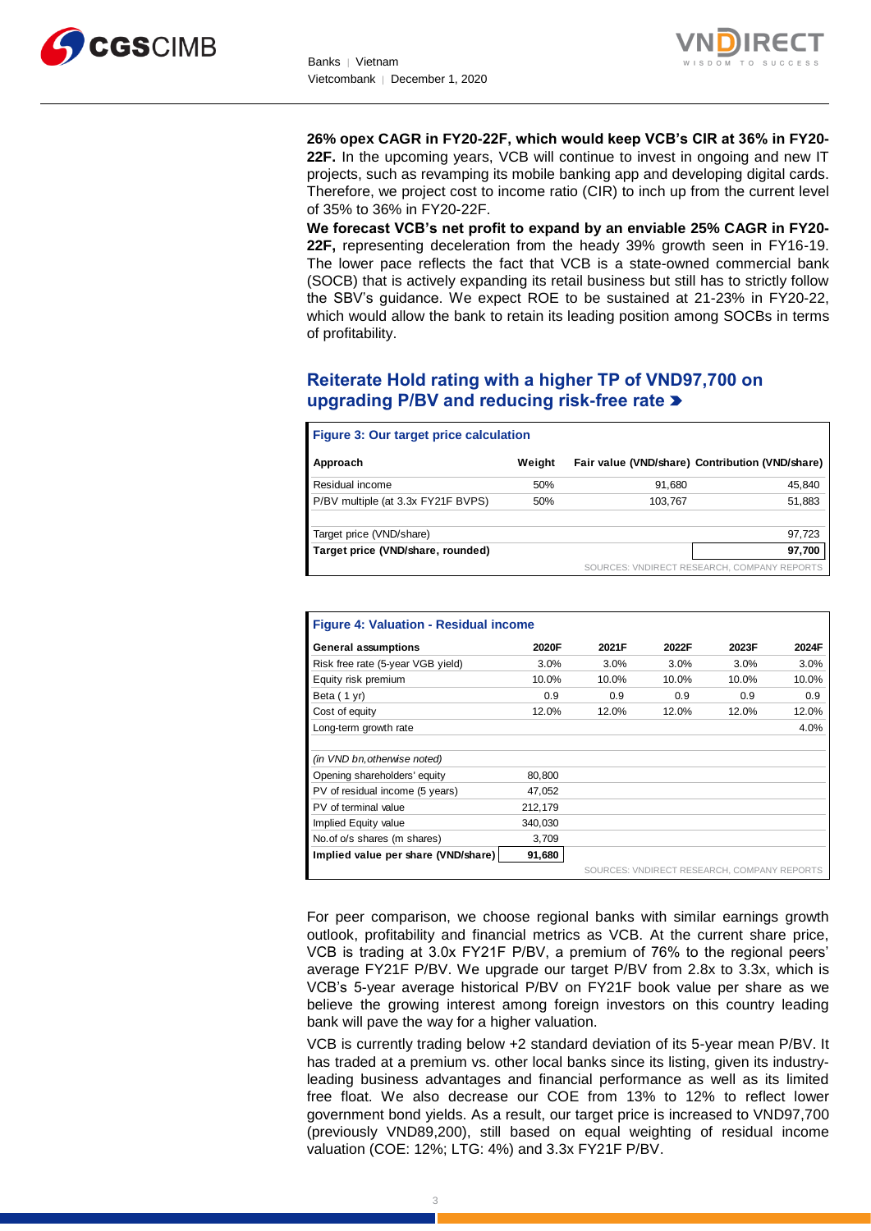



**26% opex CAGR in FY20-22F, which would keep VCB's CIR at 36% in FY20- 22F.** In the upcoming years, VCB will continue to invest in ongoing and new IT projects, such as revamping its mobile banking app and developing digital cards. Therefore, we project cost to income ratio (CIR) to inch up from the current level of 35% to 36% in FY20-22F.

**We forecast VCB's net profit to expand by an enviable 25% CAGR in FY20- 22F,** representing deceleration from the heady 39% growth seen in FY16-19. The lower pace reflects the fact that VCB is a state-owned commercial bank (SOCB) that is actively expanding its retail business but still has to strictly follow the SBV's guidance. We expect ROE to be sustained at 21-23% in FY20-22, which would allow the bank to retain its leading position among SOCBs in terms of profitability.

## **Reiterate Hold rating with a higher TP of VND97,700 on upgrading P/BV and reducing risk-free rate**

| <b>Figure 3: Our target price calculation</b> |        |                                                 |                                             |
|-----------------------------------------------|--------|-------------------------------------------------|---------------------------------------------|
| Approach                                      | Weight | Fair value (VND/share) Contribution (VND/share) |                                             |
| Residual income                               | 50%    | 91,680                                          | 45,840                                      |
| P/BV multiple (at 3.3x FY21F BVPS)            | 50%    | 103.767                                         | 51,883                                      |
| Target price (VND/share)                      |        |                                                 | 97,723                                      |
| Target price (VND/share, rounded)             |        |                                                 | 97,700                                      |
|                                               |        |                                                 | SOURCES: VNDIRECT RESEARCH, COMPANY REPORTS |

| <b>Figure 4: Valuation - Residual income</b> |         |       |       |                                             |       |  |  |  |  |  |
|----------------------------------------------|---------|-------|-------|---------------------------------------------|-------|--|--|--|--|--|
| <b>General assumptions</b>                   | 2020F   | 2021F | 2022F | 2023F                                       | 2024F |  |  |  |  |  |
| Risk free rate (5-year VGB yield)            | 3.0%    | 3.0%  | 3.0%  | $3.0\%$                                     | 3.0%  |  |  |  |  |  |
| Equity risk premium                          | 10.0%   | 10.0% | 10.0% | 10.0%                                       | 10.0% |  |  |  |  |  |
| Beta (1 yr)                                  | 0.9     | 0.9   | 0.9   | 0.9                                         | 0.9   |  |  |  |  |  |
| Cost of equity                               | 12.0%   | 12.0% | 12.0% | 12.0%                                       | 12.0% |  |  |  |  |  |
| Long-term growth rate                        |         |       |       |                                             | 4.0%  |  |  |  |  |  |
|                                              |         |       |       |                                             |       |  |  |  |  |  |
| (in VND bn, otherwise noted)                 |         |       |       |                                             |       |  |  |  |  |  |
| Opening shareholders' equity                 | 80,800  |       |       |                                             |       |  |  |  |  |  |
| PV of residual income (5 years)              | 47,052  |       |       |                                             |       |  |  |  |  |  |
| PV of terminal value                         | 212,179 |       |       |                                             |       |  |  |  |  |  |
| Implied Equity value                         | 340.030 |       |       |                                             |       |  |  |  |  |  |
| No. of o/s shares (m shares)                 | 3,709   |       |       |                                             |       |  |  |  |  |  |
| Implied value per share (VND/share)          | 91,680  |       |       |                                             |       |  |  |  |  |  |
|                                              |         |       |       | SOURCES: VNDIRECT RESEARCH, COMPANY REPORTS |       |  |  |  |  |  |

For peer comparison, we choose regional banks with similar earnings growth outlook, profitability and financial metrics as VCB. At the current share price, VCB is trading at 3.0x FY21F P/BV, a premium of 76% to the regional peers' average FY21F P/BV. We upgrade our target P/BV from 2.8x to 3.3x, which is VCB's 5-year average historical P/BV on FY21F book value per share as we believe the growing interest among foreign investors on this country leading bank will pave the way for a higher valuation.

VCB is currently trading below +2 standard deviation of its 5-year mean P/BV. It has traded at a premium vs. other local banks since its listing, given its industryleading business advantages and financial performance as well as its limited free float. We also decrease our COE from 13% to 12% to reflect lower government bond yields. As a result, our target price is increased to VND97,700 (previously VND89,200), still based on equal weighting of residual income valuation (COE: 12%; LTG: 4%) and 3.3x FY21F P/BV.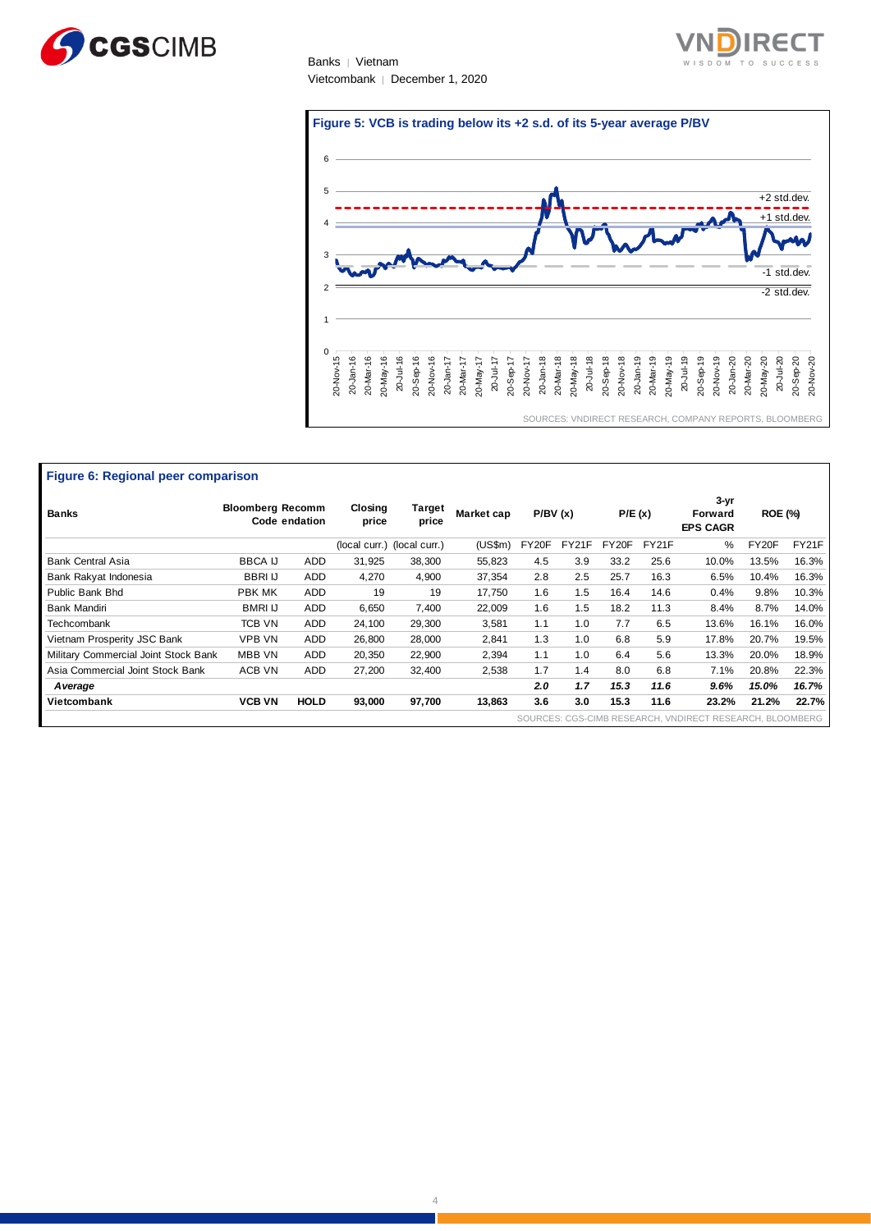





| Figure 6: Regional peer comparison   |                         |               |                  |                             |            |         |       |        |       |                                                          |                |       |
|--------------------------------------|-------------------------|---------------|------------------|-----------------------------|------------|---------|-------|--------|-------|----------------------------------------------------------|----------------|-------|
| <b>Banks</b>                         | <b>Bloomberg Recomm</b> | Code endation | Closing<br>price | Target<br>price             | Market cap | P/BV(x) |       | P/E(x) |       | $3 - yr$<br>Forward<br><b>EPS CAGR</b>                   | <b>ROE (%)</b> |       |
|                                      |                         |               |                  | (local curr.) (local curr.) | (US\$m)    | FY20F   | FY21F | FY20F  | FY21F | %                                                        | FY20F          | FY21F |
| <b>Bank Central Asia</b>             | <b>BBCA IJ</b>          | <b>ADD</b>    | 31,925           | 38,300                      | 55,823     | 4.5     | 3.9   | 33.2   | 25.6  | 10.0%                                                    | 13.5%          | 16.3% |
| Bank Rakyat Indonesia                | <b>BBRIU</b>            | <b>ADD</b>    | 4,270            | 4,900                       | 37,354     | 2.8     | 2.5   | 25.7   | 16.3  | 6.5%                                                     | 10.4%          | 16.3% |
| Public Bank Bhd                      | PBK MK                  | <b>ADD</b>    | 19               | 19                          | 17,750     | 1.6     | 1.5   | 16.4   | 14.6  | 0.4%                                                     | 9.8%           | 10.3% |
| Bank Mandiri                         | <b>BMRI IJ</b>          | <b>ADD</b>    | 6,650            | 7,400                       | 22,009     | 1.6     | 1.5   | 18.2   | 11.3  | 8.4%                                                     | 8.7%           | 14.0% |
| Techcombank                          | TCB VN                  | <b>ADD</b>    | 24,100           | 29,300                      | 3,581      | 1.1     | 1.0   | 7.7    | 6.5   | 13.6%                                                    | 16.1%          | 16.0% |
| Vietnam Prosperity JSC Bank          | VPB VN                  | <b>ADD</b>    | 26,800           | 28,000                      | 2,841      | 1.3     | 1.0   | 6.8    | 5.9   | 17.8%                                                    | 20.7%          | 19.5% |
| Military Commercial Joint Stock Bank | MBB VN                  | <b>ADD</b>    | 20,350           | 22,900                      | 2,394      | 1.1     | 1.0   | 6.4    | 5.6   | 13.3%                                                    | 20.0%          | 18.9% |
| Asia Commercial Joint Stock Bank     | ACB VN                  | <b>ADD</b>    | 27,200           | 32,400                      | 2,538      | 1.7     | 1.4   | 8.0    | 6.8   | 7.1%                                                     | 20.8%          | 22.3% |
| A verage                             |                         |               |                  |                             |            | 2.0     | 1.7   | 15.3   | 11.6  | 9.6%                                                     | 15.0%          | 16.7% |
| Vietcombank                          | <b>VCB VN</b>           | <b>HOLD</b>   | 93,000           | 97,700                      | 13,863     | 3.6     | 3.0   | 15.3   | 11.6  | 23.2%                                                    | 21.2%          | 22.7% |
|                                      |                         |               |                  |                             |            |         |       |        |       | SOURCES: CGS-CIMB RESEARCH, VNDIRECT RESEARCH, BLOOMBERG |                |       |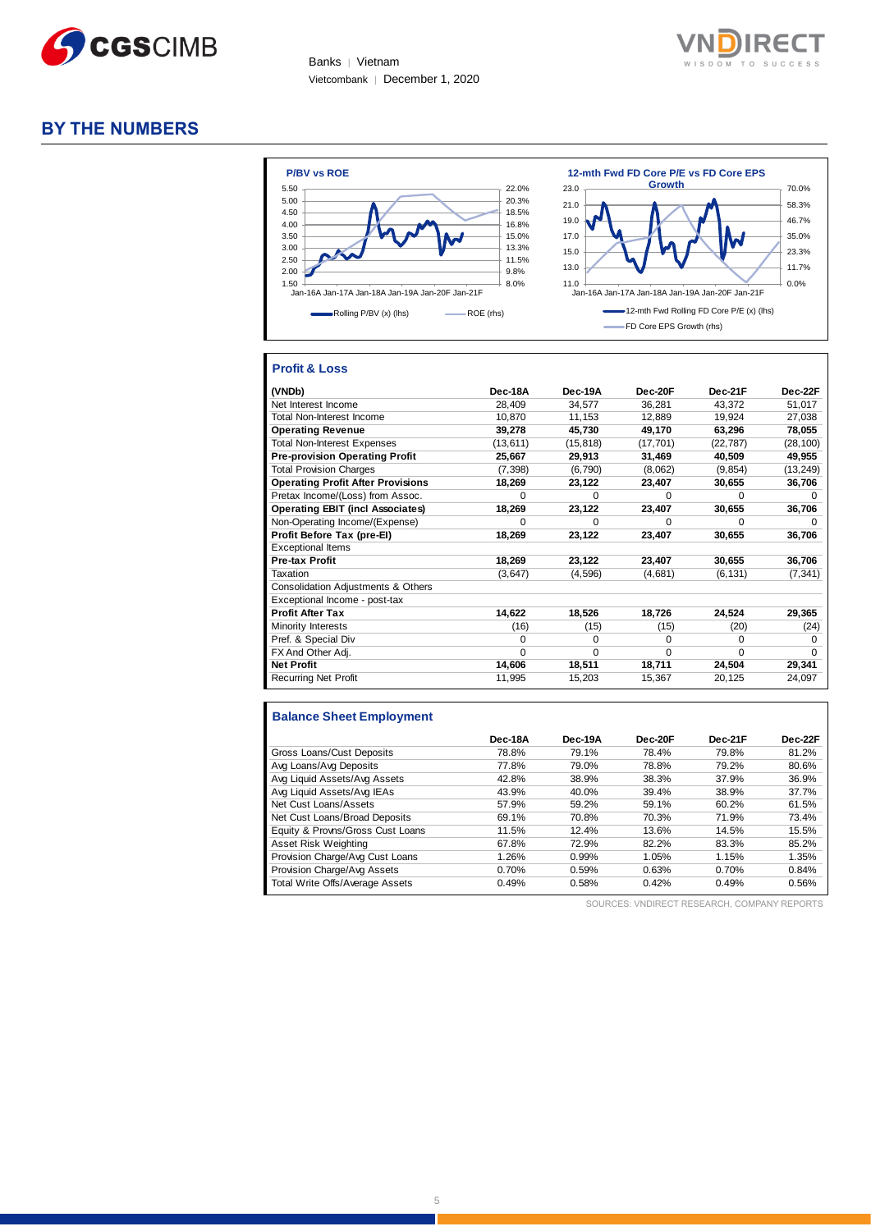



## **BY THE NUMBERS**



## **Profit & Loss**

| (VNDb)                                   | Dec-18A   | Dec-19A   | Dec-20F   | Dec-21F   | Dec-22F      |
|------------------------------------------|-----------|-----------|-----------|-----------|--------------|
| Net Interest Income                      | 28,409    | 34,577    | 36,281    | 43,372    | 51,017       |
| <b>Total Non-Interest Income</b>         | 10,870    | 11,153    | 12,889    | 19,924    | 27,038       |
| <b>Operating Revenue</b>                 | 39,278    | 45,730    | 49,170    | 63,296    | 78,055       |
| <b>Total Non-Interest Expenses</b>       | (13, 611) | (15, 818) | (17, 701) | (22, 787) | (28, 100)    |
| <b>Pre-provision Operating Profit</b>    | 25,667    | 29,913    | 31,469    | 40,509    | 49,955       |
| <b>Total Provision Charges</b>           | (7, 398)  | (6,790)   | (8,062)   | (9, 854)  | (13, 249)    |
| <b>Operating Profit After Provisions</b> | 18,269    | 23,122    | 23,407    | 30,655    | 36,706       |
| Pretax Income/(Loss) from Assoc.         | $\Omega$  | $\Omega$  | $\Omega$  | $\Omega$  | <sup>0</sup> |
| <b>Operating EBIT (incl Associates)</b>  | 18,269    | 23,122    | 23,407    | 30,655    | 36,706       |
| Non-Operating Income/(Expense)           | $\Omega$  | $\Omega$  | $\Omega$  | U         | <sup>n</sup> |
| Profit Before Tax (pre-El)               | 18,269    | 23,122    | 23,407    | 30,655    | 36,706       |
| <b>Exceptional Items</b>                 |           |           |           |           |              |
| Pre-tax Profit                           | 18,269    | 23,122    | 23,407    | 30,655    | 36,706       |
| Taxation                                 | (3,647)   | (4,596)   | (4,681)   | (6, 131)  | (7, 341)     |
| Consolidation Adjustments & Others       |           |           |           |           |              |
| Exceptional Income - post-tax            |           |           |           |           |              |
| <b>Profit After Tax</b>                  | 14,622    | 18,526    | 18,726    | 24,524    | 29,365       |
| Minority Interests                       | (16)      | (15)      | (15)      | (20)      | (24)         |
| Pref. & Special Div                      | $\Omega$  | $\Omega$  | $\Omega$  | $\Omega$  | $\Omega$     |
| FX And Other Adj.                        | $\Omega$  | 0         | 0         | $\Omega$  | $\Omega$     |
| <b>Net Profit</b>                        | 14,606    | 18,511    | 18,711    | 24,504    | 29,341       |
| Recurring Net Profit                     | 11,995    | 15,203    | 15,367    | 20,125    | 24,097       |

#### **Balance Sheet Employment**

|                                  | Dec-18A | Dec-19A | Dec-20F | Dec-21F | Dec-22F |
|----------------------------------|---------|---------|---------|---------|---------|
| Gross Loans/Cust Deposits        | 78.8%   | 79.1%   | 78.4%   | 79.8%   | 81.2%   |
| Avg Loans/Avg Deposits           | 77.8%   | 79.0%   | 78.8%   | 79.2%   | 80.6%   |
| Avg Liquid Assets/Avg Assets     | 42.8%   | 38.9%   | 38.3%   | 37.9%   | 36.9%   |
| Avg Liquid Assets/Avg IEAs       | 43.9%   | 40.0%   | 39.4%   | 38.9%   | 37.7%   |
| Net Cust Loans/Assets            | 57.9%   | 59.2%   | 59.1%   | 60.2%   | 61.5%   |
| Net Cust Loans/Broad Deposits    | 69.1%   | 70.8%   | 70.3%   | 71.9%   | 73.4%   |
| Equity & Provns/Gross Cust Loans | 11.5%   | 12.4%   | 13.6%   | 14.5%   | 15.5%   |
| Asset Risk Weighting             | 67.8%   | 72.9%   | 82.2%   | 83.3%   | 85.2%   |
| Provision Charge/Avg Cust Loans  | 1.26%   | 0.99%   | 1.05%   | 1.15%   | 1.35%   |
| Provision Charge/Avg Assets      | 0.70%   | 0.59%   | 0.63%   | 0.70%   | 0.84%   |
| Total Write Offs/Average Assets  | 0.49%   | 0.58%   | 0.42%   | 0.49%   | 0.56%   |

SOURCES: VNDIRECT RESEARCH, COMPANY REPORTS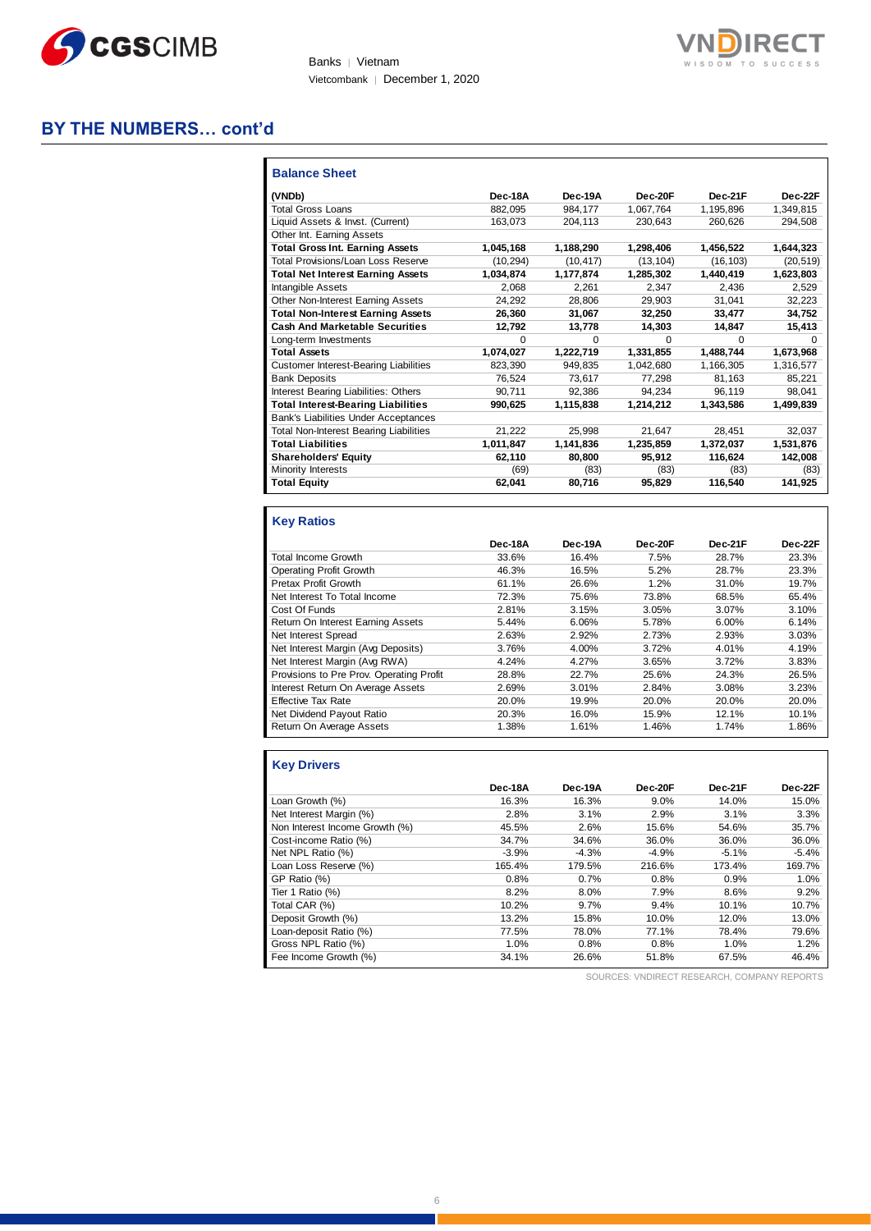



## **BY THE NUMBERS… cont'd**

| <b>Balance Sheet</b>                          |           |           |           |           |           |
|-----------------------------------------------|-----------|-----------|-----------|-----------|-----------|
| (VNDb)                                        | Dec-18A   | Dec-19A   | Dec-20F   | Dec-21F   | Dec-22F   |
| <b>Total Gross Loans</b>                      | 882.095   | 984.177   | 1,067,764 | 1,195,896 | 1,349,815 |
| Liquid Assets & Invst. (Current)              | 163.073   | 204.113   | 230.643   | 260.626   | 294.508   |
| Other Int. Earning Assets                     |           |           |           |           |           |
| <b>Total Gross Int. Earning Assets</b>        | 1,045,168 | 1,188,290 | 1,298,406 | 1,456,522 | 1,644,323 |
| Total Provisions/Loan Loss Reserve            | (10.294)  | (10.417)  | (13.104)  | (16.103)  | (20, 519) |
| <b>Total Net Interest Earning Assets</b>      | 1,034,874 | 1,177,874 | 1,285,302 | 1,440,419 | 1,623,803 |
| Intangible Assets                             | 2.068     | 2.261     | 2.347     | 2.436     | 2,529     |
| Other Non-Interest Earning Assets             | 24,292    | 28.806    | 29.903    | 31,041    | 32.223    |
| <b>Total Non-Interest Earning Assets</b>      | 26,360    | 31,067    | 32,250    | 33,477    | 34,752    |
| <b>Cash And Marketable Securities</b>         | 12,792    | 13,778    | 14,303    | 14,847    | 15,413    |
| Long-term Investments                         | 0         | $\Omega$  | $\Omega$  | $\Omega$  | 0         |
| <b>Total Assets</b>                           | 1,074,027 | 1,222,719 | 1,331,855 | 1,488,744 | 1,673,968 |
| <b>Customer Interest-Bearing Liabilities</b>  | 823.390   | 949.835   | 1.042.680 | 1,166,305 | 1,316,577 |
| <b>Bank Deposits</b>                          | 76,524    | 73,617    | 77,298    | 81,163    | 85,221    |
| Interest Bearing Liabilities: Others          | 90.711    | 92.386    | 94.234    | 96,119    | 98,041    |
| <b>Total Interest-Bearing Liabilities</b>     | 990,625   | 1,115,838 | 1,214,212 | 1,343,586 | 1,499,839 |
| Bank's Liabilities Under Acceptances          |           |           |           |           |           |
| <b>Total Non-Interest Bearing Liabilities</b> | 21,222    | 25.998    | 21.647    | 28,451    | 32,037    |
| <b>Total Liabilities</b>                      | 1,011,847 | 1,141,836 | 1,235,859 | 1,372,037 | 1,531,876 |
| <b>Shareholders' Equity</b>                   | 62,110    | 80.800    | 95.912    | 116.624   | 142,008   |
| Minority Interests                            | (69)      | (83)      | (83)      | (83)      | (83)      |
| <b>Total Equity</b>                           | 62,041    | 80.716    | 95.829    | 116.540   | 141.925   |

## **Key Ratios**

|                                          | Dec-18A | Dec-19A | Dec-20F | Dec-21F | Dec-22F |
|------------------------------------------|---------|---------|---------|---------|---------|
| Total Income Growth                      | 33.6%   | 16.4%   | 7.5%    | 28.7%   | 23.3%   |
| <b>Operating Profit Growth</b>           | 46.3%   | 16.5%   | 5.2%    | 28.7%   | 23.3%   |
| <b>Pretax Profit Growth</b>              | 61.1%   | 26.6%   | 1.2%    | 31.0%   | 19.7%   |
| Net Interest To Total Income             | 72.3%   | 75.6%   | 73.8%   | 68.5%   | 65.4%   |
| Cost Of Funds                            | 2.81%   | 3.15%   | 3.05%   | 3.07%   | 3.10%   |
| Return On Interest Earning Assets        | 5.44%   | 6.06%   | 5.78%   | 6.00%   | 6.14%   |
| Net Interest Spread                      | 2.63%   | 2.92%   | 2.73%   | 2.93%   | 3.03%   |
| Net Interest Margin (Avg Deposits)       | 3.76%   | 4.00%   | 3.72%   | 4.01%   | 4.19%   |
| Net Interest Margin (Avg RWA)            | 4.24%   | 4.27%   | 3.65%   | 3.72%   | 3.83%   |
| Provisions to Pre Prov. Operating Profit | 28.8%   | 22.7%   | 25.6%   | 24.3%   | 26.5%   |
| Interest Return On Average Assets        | 2.69%   | 3.01%   | 2.84%   | 3.08%   | 3.23%   |
| <b>Effective Tax Rate</b>                | 20.0%   | 19.9%   | 20.0%   | 20.0%   | 20.0%   |
| Net Dividend Payout Ratio                | 20.3%   | 16.0%   | 15.9%   | 12.1%   | 10.1%   |
| Return On Average Assets                 | 1.38%   | 1.61%   | 1.46%   | 1.74%   | 1.86%   |

## **Key Drivers**

|                                | Dec-18A | Dec-19A | Dec-20F | Dec-21F | Dec-22F |
|--------------------------------|---------|---------|---------|---------|---------|
| Loan Growth (%)                | 16.3%   | 16.3%   | 9.0%    | 14.0%   | 15.0%   |
| Net Interest Margin (%)        | 2.8%    | 3.1%    | 2.9%    | 3.1%    | 3.3%    |
| Non Interest Income Growth (%) | 45.5%   | 2.6%    | 15.6%   | 54.6%   | 35.7%   |
| Cost-income Ratio (%)          | 34.7%   | 34.6%   | 36.0%   | 36.0%   | 36.0%   |
| Net NPL Ratio (%)              | $-3.9%$ | $-4.3%$ | $-4.9%$ | $-5.1%$ | $-5.4%$ |
| Loan Loss Reserve (%)          | 165.4%  | 179.5%  | 216.6%  | 173.4%  | 169.7%  |
| GP Ratio (%)                   | 0.8%    | 0.7%    | 0.8%    | 0.9%    | 1.0%    |
| Tier 1 Ratio (%)               | 8.2%    | 8.0%    | 7.9%    | 8.6%    | 9.2%    |
| Total CAR (%)                  | 10.2%   | 9.7%    | 9.4%    | 10.1%   | 10.7%   |
| Deposit Growth (%)             | 13.2%   | 15.8%   | 10.0%   | 12.0%   | 13.0%   |
| Loan-deposit Ratio (%)         | 77.5%   | 78.0%   | 77.1%   | 78.4%   | 79.6%   |
| Gross NPL Ratio (%)            | 1.0%    | 0.8%    | 0.8%    | 1.0%    | 1.2%    |
| Fee Income Growth (%)          | 34.1%   | 26.6%   | 51.8%   | 67.5%   | 46.4%   |

SOURCES: VNDIRECT RESEARCH, COMPANY REPORTS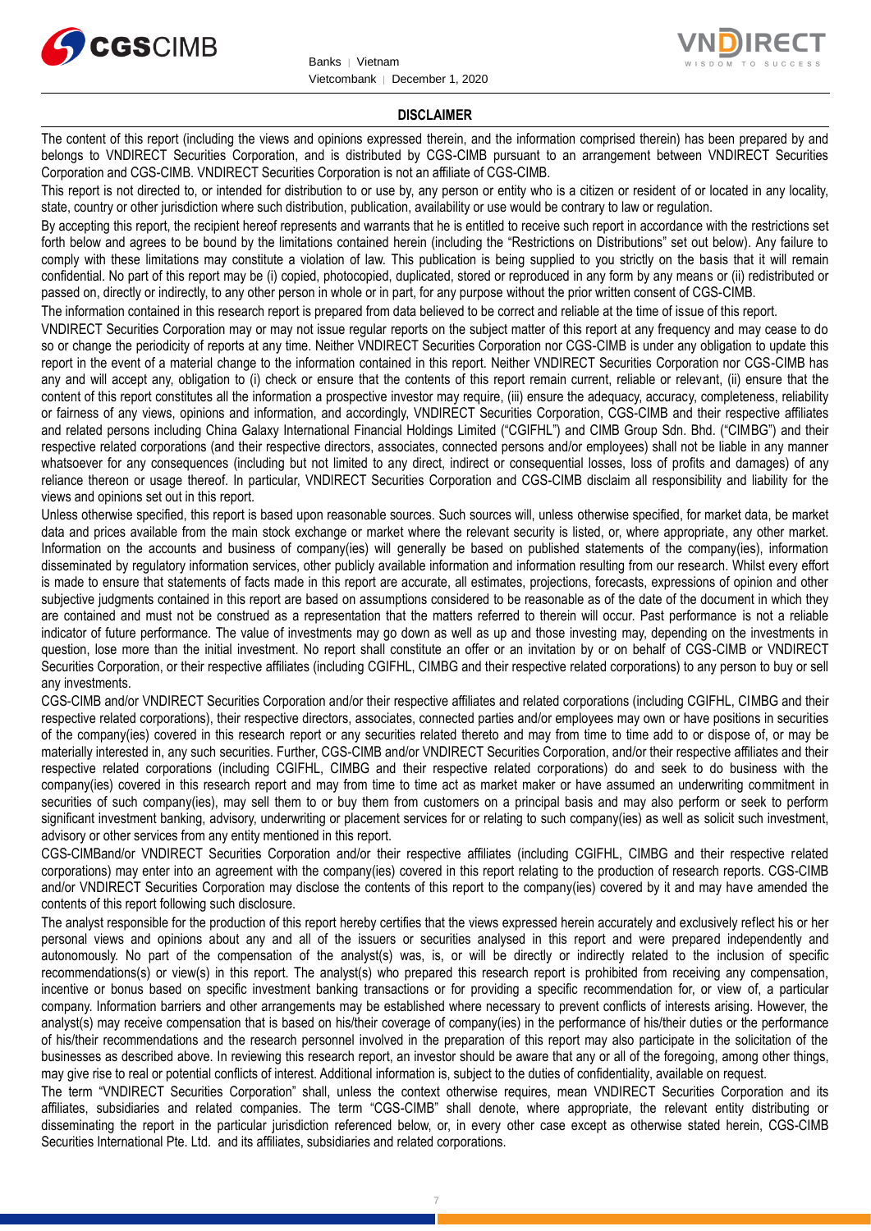



#### **DISCLAIMER**

The content of this report (including the views and opinions expressed therein, and the information comprised therein) has been prepared by and belongs to VNDIRECT Securities Corporation, and is distributed by CGS-CIMB pursuant to an arrangement between VNDIRECT Securities Corporation and CGS-CIMB. VNDIRECT Securities Corporation is not an affiliate of CGS-CIMB.

This report is not directed to, or intended for distribution to or use by, any person or entity who is a citizen or resident of or located in any locality, state, country or other jurisdiction where such distribution, publication, availability or use would be contrary to law or regulation.

By accepting this report, the recipient hereof represents and warrants that he is entitled to receive such report in accordance with the restrictions set forth below and agrees to be bound by the limitations contained herein (including the "Restrictions on Distributions" set out below). Any failure to comply with these limitations may constitute a violation of law. This publication is being supplied to you strictly on the basis that it will remain confidential. No part of this report may be (i) copied, photocopied, duplicated, stored or reproduced in any form by any means or (ii) redistributed or passed on, directly or indirectly, to any other person in whole or in part, for any purpose without the prior written consent of CGS-CIMB.

The information contained in this research report is prepared from data believed to be correct and reliable at the time of issue of this report.

VNDIRECT Securities Corporation may or may not issue regular reports on the subject matter of this report at any frequency and may cease to do so or change the periodicity of reports at any time. Neither VNDIRECT Securities Corporation nor CGS-CIMB is under any obligation to update this report in the event of a material change to the information contained in this report. Neither VNDIRECT Securities Corporation nor CGS-CIMB has any and will accept any, obligation to (i) check or ensure that the contents of this report remain current, reliable or relevant, (ii) ensure that the content of this report constitutes all the information a prospective investor may require, (iii) ensure the adequacy, accuracy, completeness, reliability or fairness of any views, opinions and information, and accordingly, VNDIRECT Securities Corporation, CGS-CIMB and their respective affiliates and related persons including China Galaxy International Financial Holdings Limited ("CGIFHL") and CIMB Group Sdn. Bhd. ("CIMBG") and their respective related corporations (and their respective directors, associates, connected persons and/or employees) shall not be liable in any manner whatsoever for any consequences (including but not limited to any direct, indirect or consequential losses, loss of profits and damages) of any reliance thereon or usage thereof. In particular, VNDIRECT Securities Corporation and CGS-CIMB disclaim all responsibility and liability for the views and opinions set out in this report.

Unless otherwise specified, this report is based upon reasonable sources. Such sources will, unless otherwise specified, for market data, be market data and prices available from the main stock exchange or market where the relevant security is listed, or, where appropriate, any other market. Information on the accounts and business of company(ies) will generally be based on published statements of the company(ies), information disseminated by regulatory information services, other publicly available information and information resulting from our research. Whilst every effort is made to ensure that statements of facts made in this report are accurate, all estimates, projections, forecasts, expressions of opinion and other subjective judgments contained in this report are based on assumptions considered to be reasonable as of the date of the document in which they are contained and must not be construed as a representation that the matters referred to therein will occur. Past performance is not a reliable indicator of future performance. The value of investments may go down as well as up and those investing may, depending on the investments in question, lose more than the initial investment. No report shall constitute an offer or an invitation by or on behalf of CGS-CIMB or VNDIRECT Securities Corporation, or their respective affiliates (including CGIFHL, CIMBG and their respective related corporations) to any person to buy or sell any investments.

CGS-CIMB and/or VNDIRECT Securities Corporation and/or their respective affiliates and related corporations (including CGIFHL, CIMBG and their respective related corporations), their respective directors, associates, connected parties and/or employees may own or have positions in securities of the company(ies) covered in this research report or any securities related thereto and may from time to time add to or dispose of, or may be materially interested in, any such securities. Further, CGS-CIMB and/or VNDIRECT Securities Corporation, and/or their respective affiliates and their respective related corporations (including CGIFHL, CIMBG and their respective related corporations) do and seek to do business with the company(ies) covered in this research report and may from time to time act as market maker or have assumed an underwriting commitment in securities of such company(ies), may sell them to or buy them from customers on a principal basis and may also perform or seek to perform significant investment banking, advisory, underwriting or placement services for or relating to such company(ies) as well as solicit such investment, advisory or other services from any entity mentioned in this report.

CGS-CIMBand/or VNDIRECT Securities Corporation and/or their respective affiliates (including CGIFHL, CIMBG and their respective related corporations) may enter into an agreement with the company(ies) covered in this report relating to the production of research reports. CGS-CIMB and/or VNDIRECT Securities Corporation may disclose the contents of this report to the company(ies) covered by it and may have amended the contents of this report following such disclosure.

The analyst responsible for the production of this report hereby certifies that the views expressed herein accurately and exclusively reflect his or her personal views and opinions about any and all of the issuers or securities analysed in this report and were prepared independently and autonomously. No part of the compensation of the analyst(s) was, is, or will be directly or indirectly related to the inclusion of specific recommendations(s) or view(s) in this report. The analyst(s) who prepared this research report is prohibited from receiving any compensation, incentive or bonus based on specific investment banking transactions or for providing a specific recommendation for, or view of, a particular company. Information barriers and other arrangements may be established where necessary to prevent conflicts of interests arising. However, the analyst(s) may receive compensation that is based on his/their coverage of company(ies) in the performance of his/their duties or the performance of his/their recommendations and the research personnel involved in the preparation of this report may also participate in the solicitation of the businesses as described above. In reviewing this research report, an investor should be aware that any or all of the foregoing, among other things, may give rise to real or potential conflicts of interest. Additional information is, subject to the duties of confidentiality, available on request.

The term "VNDIRECT Securities Corporation" shall, unless the context otherwise requires, mean VNDIRECT Securities Corporation and its affiliates, subsidiaries and related companies. The term "CGS-CIMB" shall denote, where appropriate, the relevant entity distributing or disseminating the report in the particular jurisdiction referenced below, or, in every other case except as otherwise stated herein, CGS-CIMB Securities International Pte. Ltd. and its affiliates, subsidiaries and related corporations.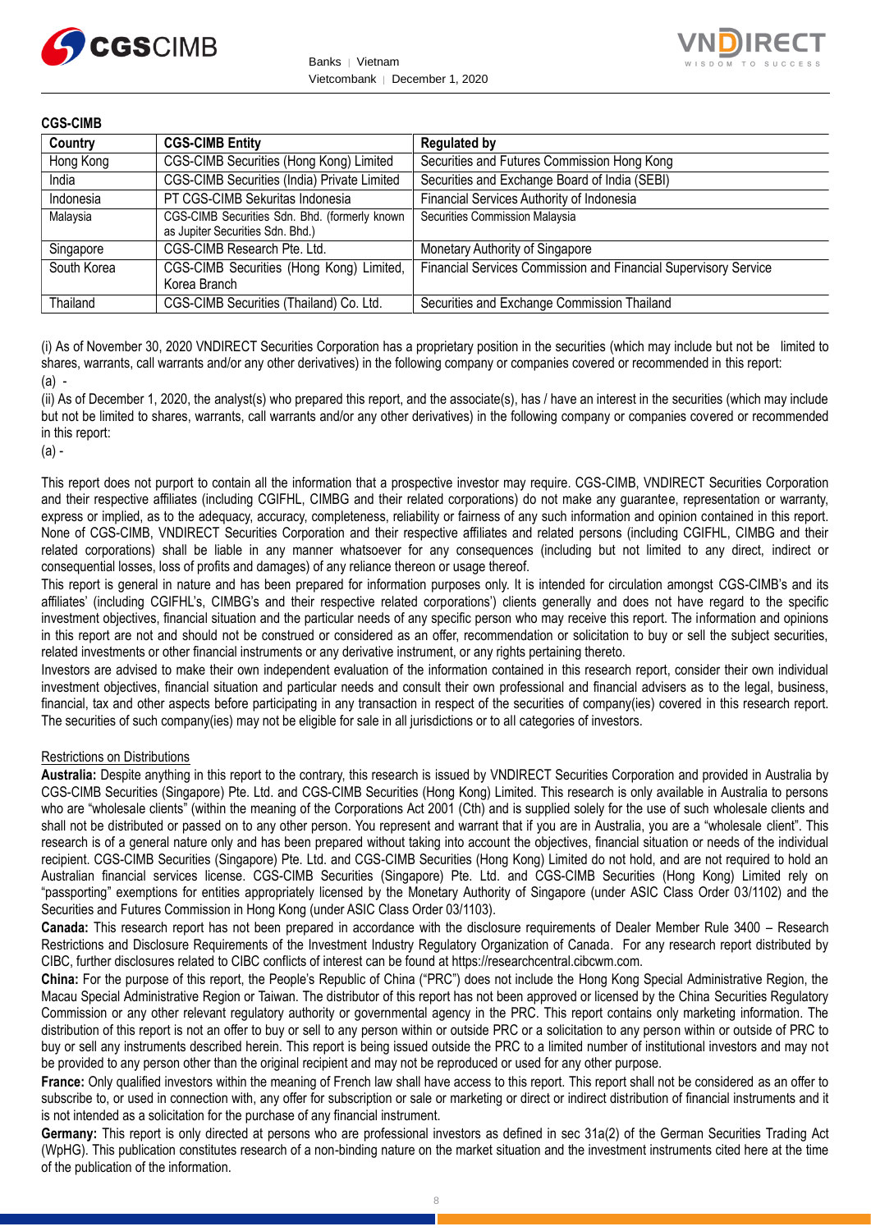



| Country     | <b>CGS-CIMB Entity</b>                                                            | <b>Regulated by</b>                                             |
|-------------|-----------------------------------------------------------------------------------|-----------------------------------------------------------------|
| Hong Kong   | CGS-CIMB Securities (Hong Kong) Limited                                           | Securities and Futures Commission Hong Kong                     |
| India       | CGS-CIMB Securities (India) Private Limited                                       | Securities and Exchange Board of India (SEBI)                   |
| Indonesia   | PT CGS-CIMB Sekuritas Indonesia                                                   | Financial Services Authority of Indonesia                       |
| Malaysia    | CGS-CIMB Securities Sdn. Bhd. (formerly known<br>as Jupiter Securities Sdn. Bhd.) | Securities Commission Malaysia                                  |
| Singapore   | CGS-CIMB Research Pte. Ltd.                                                       | Monetary Authority of Singapore                                 |
| South Korea | CGS-CIMB Securities (Hong Kong) Limited,<br>Korea Branch                          | Financial Services Commission and Financial Supervisory Service |
| Thailand    | CGS-CIMB Securities (Thailand) Co. Ltd.                                           | Securities and Exchange Commission Thailand                     |

(i) As of November 30, 2020 VNDIRECT Securities Corporation has a proprietary position in the securities (which may include but not be limited to shares, warrants, call warrants and/or any other derivatives) in the following company or companies covered or recommended in this report:  $(a)$  -

(ii) As of December 1, 2020, the analyst(s) who prepared this report, and the associate(s), has / have an interest in the securities (which may include but not be limited to shares, warrants, call warrants and/or any other derivatives) in the following company or companies covered or recommended in this report:

(a) -

This report does not purport to contain all the information that a prospective investor may require. CGS-CIMB, VNDIRECT Securities Corporation and their respective affiliates (including CGIFHL, CIMBG and their related corporations) do not make any guarantee, representation or warranty, express or implied, as to the adequacy, accuracy, completeness, reliability or fairness of any such information and opinion contained in this report. None of CGS-CIMB, VNDIRECT Securities Corporation and their respective affiliates and related persons (including CGIFHL, CIMBG and their related corporations) shall be liable in any manner whatsoever for any consequences (including but not limited to any direct, indirect or consequential losses, loss of profits and damages) of any reliance thereon or usage thereof.

This report is general in nature and has been prepared for information purposes only. It is intended for circulation amongst CGS-CIMB's and its affiliates' (including CGIFHL's, CIMBG's and their respective related corporations') clients generally and does not have regard to the specific investment objectives, financial situation and the particular needs of any specific person who may receive this report. The information and opinions in this report are not and should not be construed or considered as an offer, recommendation or solicitation to buy or sell the subject securities, related investments or other financial instruments or any derivative instrument, or any rights pertaining thereto.

Investors are advised to make their own independent evaluation of the information contained in this research report, consider their own individual investment objectives, financial situation and particular needs and consult their own professional and financial advisers as to the legal, business, financial, tax and other aspects before participating in any transaction in respect of the securities of company(ies) covered in this research report. The securities of such company(ies) may not be eligible for sale in all jurisdictions or to all categories of investors.

## Restrictions on Distributions

**Australia:** Despite anything in this report to the contrary, this research is issued by VNDIRECT Securities Corporation and provided in Australia by CGS-CIMB Securities (Singapore) Pte. Ltd. and CGS-CIMB Securities (Hong Kong) Limited. This research is only available in Australia to persons who are "wholesale clients" (within the meaning of the Corporations Act 2001 (Cth) and is supplied solely for the use of such wholesale clients and shall not be distributed or passed on to any other person. You represent and warrant that if you are in Australia, you are a "wholesale client". This research is of a general nature only and has been prepared without taking into account the objectives, financial situation or needs of the individual recipient. CGS-CIMB Securities (Singapore) Pte. Ltd. and CGS-CIMB Securities (Hong Kong) Limited do not hold, and are not required to hold an Australian financial services license. CGS-CIMB Securities (Singapore) Pte. Ltd. and CGS-CIMB Securities (Hong Kong) Limited rely on "passporting" exemptions for entities appropriately licensed by the Monetary Authority of Singapore (under ASIC Class Order 03/1102) and the Securities and Futures Commission in Hong Kong (under ASIC Class Order 03/1103).

**Canada:** This research report has not been prepared in accordance with the disclosure requirements of Dealer Member Rule 3400 – Research Restrictions and Disclosure Requirements of the Investment Industry Regulatory Organization of Canada. For any research report distributed by CIBC, further disclosures related to CIBC conflicts of interest can be found at https://researchcentral.cibcwm.com.

**China:** For the purpose of this report, the People's Republic of China ("PRC") does not include the Hong Kong Special Administrative Region, the Macau Special Administrative Region or Taiwan. The distributor of this report has not been approved or licensed by the China Securities Regulatory Commission or any other relevant regulatory authority or governmental agency in the PRC. This report contains only marketing information. The distribution of this report is not an offer to buy or sell to any person within or outside PRC or a solicitation to any person within or outside of PRC to buy or sell any instruments described herein. This report is being issued outside the PRC to a limited number of institutional investors and may not be provided to any person other than the original recipient and may not be reproduced or used for any other purpose.

**France:** Only qualified investors within the meaning of French law shall have access to this report. This report shall not be considered as an offer to subscribe to, or used in connection with, any offer for subscription or sale or marketing or direct or indirect distribution of financial instruments and it is not intended as a solicitation for the purchase of any financial instrument.

**Germany:** This report is only directed at persons who are professional investors as defined in sec 31a(2) of the German Securities Trading Act (WpHG). This publication constitutes research of a non-binding nature on the market situation and the investment instruments cited here at the time of the publication of the information.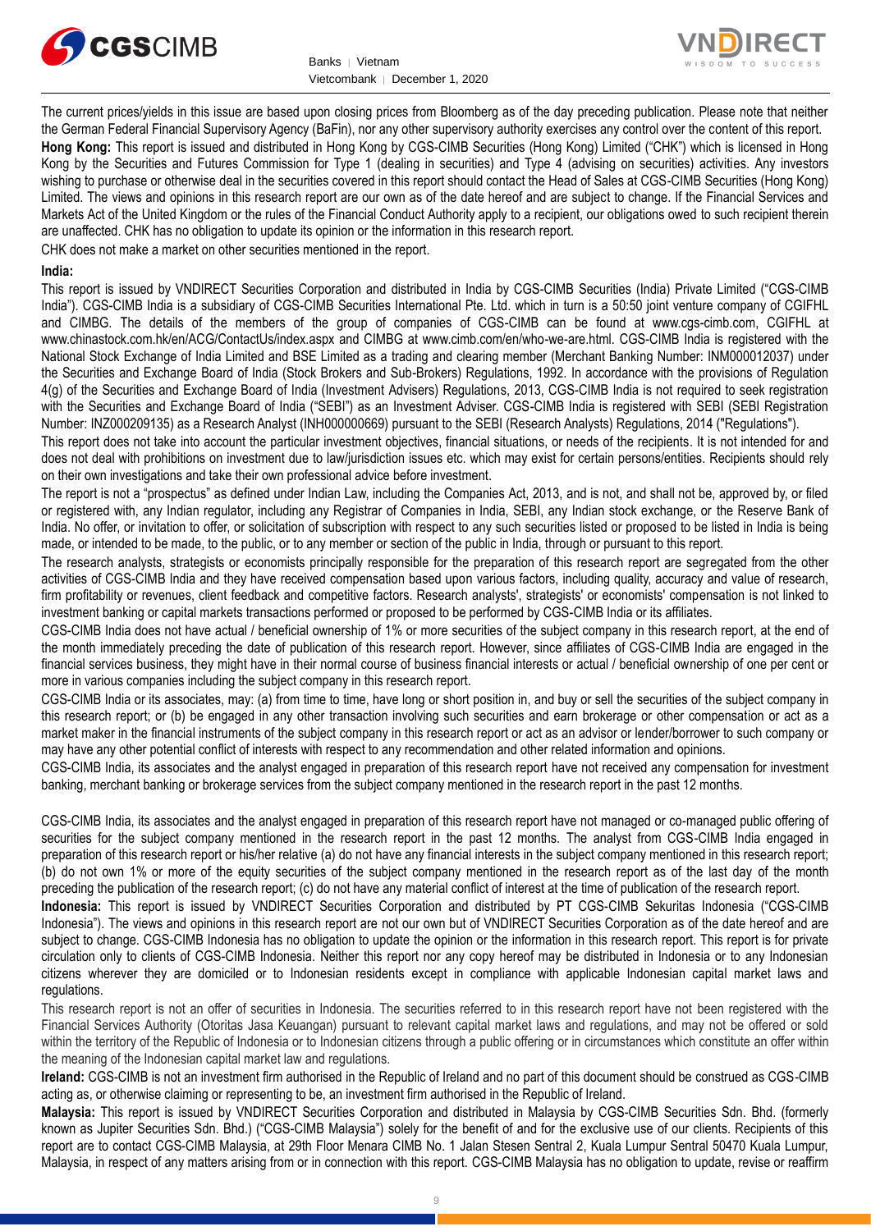



The current prices/yields in this issue are based upon closing prices from Bloomberg as of the day preceding publication. Please note that neither the German Federal Financial Supervisory Agency (BaFin), nor any other supervisory authority exercises any control over the content of this report. **Hong Kong:** This report is issued and distributed in Hong Kong by CGS-CIMB Securities (Hong Kong) Limited ("CHK") which is licensed in Hong Kong by the Securities and Futures Commission for Type 1 (dealing in securities) and Type 4 (advising on securities) activities. Any investors wishing to purchase or otherwise deal in the securities covered in this report should contact the Head of Sales at CGS-CIMB Securities (Hong Kong) Limited. The views and opinions in this research report are our own as of the date hereof and are subject to change. If the Financial Services and Markets Act of the United Kingdom or the rules of the Financial Conduct Authority apply to a recipient, our obligations owed to such recipient therein are unaffected. CHK has no obligation to update its opinion or the information in this research report.

CHK does not make a market on other securities mentioned in the report.

## **India:**

This report is issued by VNDIRECT Securities Corporation and distributed in India by CGS-CIMB Securities (India) Private Limited ("CGS-CIMB India"). CGS-CIMB India is a subsidiary of CGS-CIMB Securities International Pte. Ltd. which in turn is a 50:50 joint venture company of CGIFHL and CIMBG. The details of the members of the group of companies of CGS-CIMB can be found at www.cgs-cimb.com, CGIFHL at www.chinastock.com.hk/en/ACG/ContactUs/index.aspx and CIMBG at www.cimb.com/en/who-we-are.html. CGS-CIMB India is registered with the National Stock Exchange of India Limited and BSE Limited as a trading and clearing member (Merchant Banking Number: INM000012037) under the Securities and Exchange Board of India (Stock Brokers and Sub-Brokers) Regulations, 1992. In accordance with the provisions of Regulation 4(g) of the Securities and Exchange Board of India (Investment Advisers) Regulations, 2013, CGS-CIMB India is not required to seek registration with the Securities and Exchange Board of India ("SEBI") as an Investment Adviser. CGS-CIMB India is registered with SEBI (SEBI Registration Number: INZ000209135) as a Research Analyst (INH000000669) pursuant to the SEBI (Research Analysts) Regulations, 2014 ("Regulations").

This report does not take into account the particular investment objectives, financial situations, or needs of the recipients. It is not intended for and does not deal with prohibitions on investment due to law/jurisdiction issues etc. which may exist for certain persons/entities. Recipients should rely on their own investigations and take their own professional advice before investment.

The report is not a "prospectus" as defined under Indian Law, including the Companies Act, 2013, and is not, and shall not be, approved by, or filed or registered with, any Indian regulator, including any Registrar of Companies in India, SEBI, any Indian stock exchange, or the Reserve Bank of India. No offer, or invitation to offer, or solicitation of subscription with respect to any such securities listed or proposed to be listed in India is being made, or intended to be made, to the public, or to any member or section of the public in India, through or pursuant to this report.

The research analysts, strategists or economists principally responsible for the preparation of this research report are segregated from the other activities of CGS-CIMB India and they have received compensation based upon various factors, including quality, accuracy and value of research, firm profitability or revenues, client feedback and competitive factors. Research analysts', strategists' or economists' compensation is not linked to investment banking or capital markets transactions performed or proposed to be performed by CGS-CIMB India or its affiliates.

CGS-CIMB India does not have actual / beneficial ownership of 1% or more securities of the subject company in this research report, at the end of the month immediately preceding the date of publication of this research report. However, since affiliates of CGS-CIMB India are engaged in the financial services business, they might have in their normal course of business financial interests or actual / beneficial ownership of one per cent or more in various companies including the subject company in this research report.

CGS-CIMB India or its associates, may: (a) from time to time, have long or short position in, and buy or sell the securities of the subject company in this research report; or (b) be engaged in any other transaction involving such securities and earn brokerage or other compensation or act as a market maker in the financial instruments of the subject company in this research report or act as an advisor or lender/borrower to such company or may have any other potential conflict of interests with respect to any recommendation and other related information and opinions.

CGS-CIMB India, its associates and the analyst engaged in preparation of this research report have not received any compensation for investment banking, merchant banking or brokerage services from the subject company mentioned in the research report in the past 12 months.

CGS-CIMB India, its associates and the analyst engaged in preparation of this research report have not managed or co-managed public offering of securities for the subject company mentioned in the research report in the past 12 months. The analyst from CGS-CIMB India engaged in preparation of this research report or his/her relative (a) do not have any financial interests in the subject company mentioned in this research report; (b) do not own 1% or more of the equity securities of the subject company mentioned in the research report as of the last day of the month preceding the publication of the research report; (c) do not have any material conflict of interest at the time of publication of the research report.

**Indonesia:** This report is issued by VNDIRECT Securities Corporation and distributed by PT CGS-CIMB Sekuritas Indonesia ("CGS-CIMB Indonesia"). The views and opinions in this research report are not our own but of VNDIRECT Securities Corporation as of the date hereof and are subject to change. CGS-CIMB Indonesia has no obligation to update the opinion or the information in this research report. This report is for private circulation only to clients of CGS-CIMB Indonesia. Neither this report nor any copy hereof may be distributed in Indonesia or to any Indonesian citizens wherever they are domiciled or to Indonesian residents except in compliance with applicable Indonesian capital market laws and regulations.

This research report is not an offer of securities in Indonesia. The securities referred to in this research report have not been registered with the Financial Services Authority (Otoritas Jasa Keuangan) pursuant to relevant capital market laws and regulations, and may not be offered or sold within the territory of the Republic of Indonesia or to Indonesian citizens through a public offering or in circumstances which constitute an offer within the meaning of the Indonesian capital market law and regulations.

**Ireland:** CGS-CIMB is not an investment firm authorised in the Republic of Ireland and no part of this document should be construed as CGS-CIMB acting as, or otherwise claiming or representing to be, an investment firm authorised in the Republic of Ireland.

**Malaysia:** This report is issued by VNDIRECT Securities Corporation and distributed in Malaysia by CGS-CIMB Securities Sdn. Bhd. (formerly known as Jupiter Securities Sdn. Bhd.) ("CGS-CIMB Malaysia") solely for the benefit of and for the exclusive use of our clients. Recipients of this report are to contact CGS-CIMB Malaysia, at 29th Floor Menara CIMB No. 1 Jalan Stesen Sentral 2, Kuala Lumpur Sentral 50470 Kuala Lumpur, Malaysia, in respect of any matters arising from or in connection with this report. CGS-CIMB Malaysia has no obligation to update, revise or reaffirm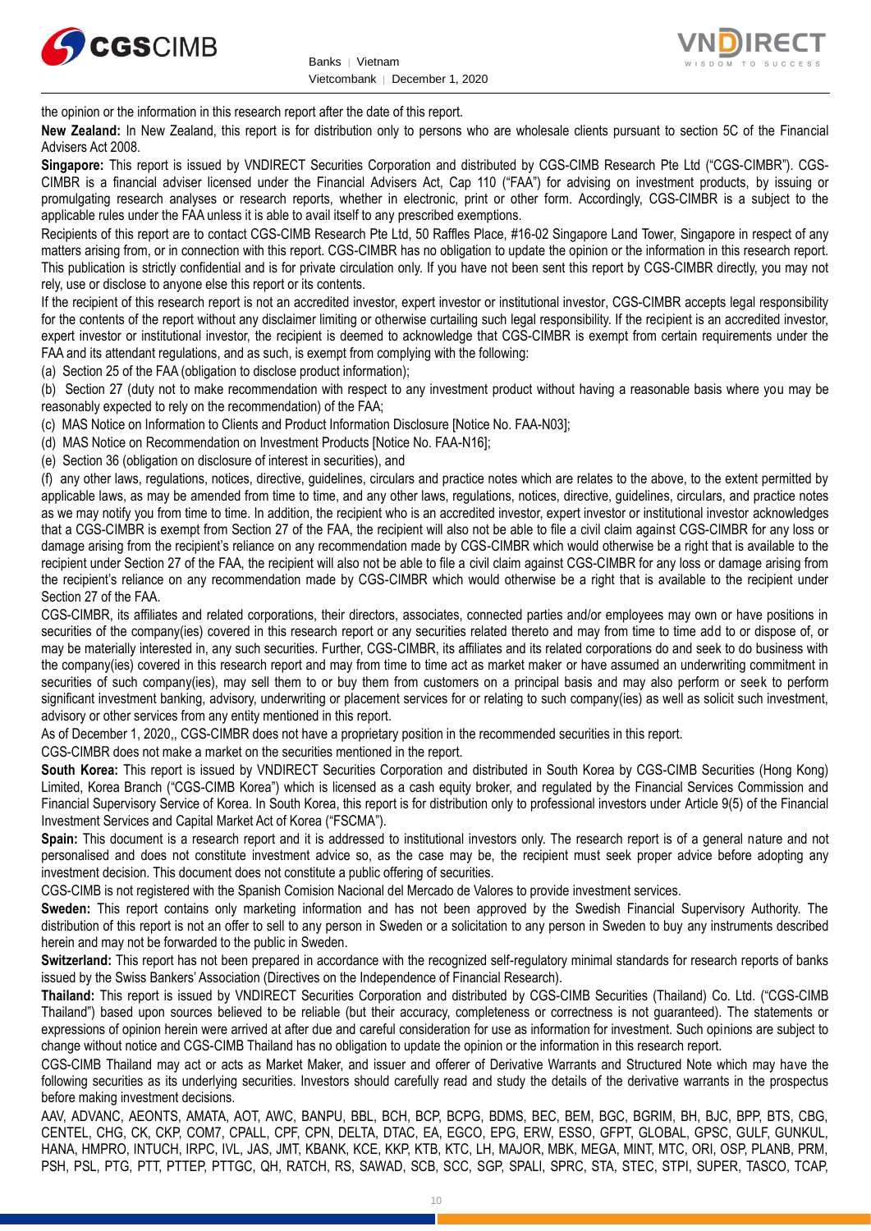



the opinion or the information in this research report after the date of this report.

**New Zealand:** In New Zealand, this report is for distribution only to persons who are wholesale clients pursuant to section 5C of the Financial Advisers Act 2008.

**Singapore:** This report is issued by VNDIRECT Securities Corporation and distributed by CGS-CIMB Research Pte Ltd ("CGS-CIMBR"). CGS-CIMBR is a financial adviser licensed under the Financial Advisers Act, Cap 110 ("FAA") for advising on investment products, by issuing or promulgating research analyses or research reports, whether in electronic, print or other form. Accordingly, CGS-CIMBR is a subject to the applicable rules under the FAA unless it is able to avail itself to any prescribed exemptions.

Recipients of this report are to contact CGS-CIMB Research Pte Ltd, 50 Raffles Place, #16-02 Singapore Land Tower, Singapore in respect of any matters arising from, or in connection with this report. CGS-CIMBR has no obligation to update the opinion or the information in this research report. This publication is strictly confidential and is for private circulation only. If you have not been sent this report by CGS-CIMBR directly, you may not rely, use or disclose to anyone else this report or its contents.

If the recipient of this research report is not an accredited investor, expert investor or institutional investor, CGS-CIMBR accepts legal responsibility for the contents of the report without any disclaimer limiting or otherwise curtailing such legal responsibility. If the recipient is an accredited investor, expert investor or institutional investor, the recipient is deemed to acknowledge that CGS-CIMBR is exempt from certain requirements under the FAA and its attendant regulations, and as such, is exempt from complying with the following:

(a) Section 25 of the FAA (obligation to disclose product information);

(b) Section 27 (duty not to make recommendation with respect to any investment product without having a reasonable basis where you may be reasonably expected to rely on the recommendation) of the FAA;

(c) MAS Notice on Information to Clients and Product Information Disclosure [Notice No. FAA-N03];

(d) MAS Notice on Recommendation on Investment Products [Notice No. FAA-N16];

(e) Section 36 (obligation on disclosure of interest in securities), and

(f) any other laws, regulations, notices, directive, guidelines, circulars and practice notes which are relates to the above, to the extent permitted by applicable laws, as may be amended from time to time, and any other laws, regulations, notices, directive, guidelines, circulars, and practice notes as we may notify you from time to time. In addition, the recipient who is an accredited investor, expert investor or institutional investor acknowledges that a CGS-CIMBR is exempt from Section 27 of the FAA, the recipient will also not be able to file a civil claim against CGS-CIMBR for any loss or damage arising from the recipient's reliance on any recommendation made by CGS-CIMBR which would otherwise be a right that is available to the recipient under Section 27 of the FAA, the recipient will also not be able to file a civil claim against CGS-CIMBR for any loss or damage arising from the recipient's reliance on any recommendation made by CGS-CIMBR which would otherwise be a right that is available to the recipient under Section 27 of the FAA.

CGS-CIMBR, its affiliates and related corporations, their directors, associates, connected parties and/or employees may own or have positions in securities of the company(ies) covered in this research report or any securities related thereto and may from time to time add to or dispose of, or may be materially interested in, any such securities. Further, CGS-CIMBR, its affiliates and its related corporations do and seek to do business with the company(ies) covered in this research report and may from time to time act as market maker or have assumed an underwriting commitment in securities of such company(ies), may sell them to or buy them from customers on a principal basis and may also perform or seek to perform significant investment banking, advisory, underwriting or placement services for or relating to such company(ies) as well as solicit such investment, advisory or other services from any entity mentioned in this report.

As of December 1, 2020,, CGS-CIMBR does not have a proprietary position in the recommended securities in this report.

CGS-CIMBR does not make a market on the securities mentioned in the report.

**South Korea:** This report is issued by VNDIRECT Securities Corporation and distributed in South Korea by CGS-CIMB Securities (Hong Kong) Limited, Korea Branch ("CGS-CIMB Korea") which is licensed as a cash equity broker, and regulated by the Financial Services Commission and Financial Supervisory Service of Korea. In South Korea, this report is for distribution only to professional investors under Article 9(5) of the Financial Investment Services and Capital Market Act of Korea ("FSCMA").

**Spain:** This document is a research report and it is addressed to institutional investors only. The research report is of a general nature and not personalised and does not constitute investment advice so, as the case may be, the recipient must seek proper advice before adopting any investment decision. This document does not constitute a public offering of securities.

CGS-CIMB is not registered with the Spanish Comision Nacional del Mercado de Valores to provide investment services.

**Sweden:** This report contains only marketing information and has not been approved by the Swedish Financial Supervisory Authority. The distribution of this report is not an offer to sell to any person in Sweden or a solicitation to any person in Sweden to buy any instruments described herein and may not be forwarded to the public in Sweden.

**Switzerland:** This report has not been prepared in accordance with the recognized self-regulatory minimal standards for research reports of banks issued by the Swiss Bankers' Association (Directives on the Independence of Financial Research).

**Thailand:** This report is issued by VNDIRECT Securities Corporation and distributed by CGS-CIMB Securities (Thailand) Co. Ltd. ("CGS-CIMB Thailand") based upon sources believed to be reliable (but their accuracy, completeness or correctness is not guaranteed). The statements or expressions of opinion herein were arrived at after due and careful consideration for use as information for investment. Such opinions are subject to change without notice and CGS-CIMB Thailand has no obligation to update the opinion or the information in this research report.

CGS-CIMB Thailand may act or acts as Market Maker, and issuer and offerer of Derivative Warrants and Structured Note which may have the following securities as its underlying securities. Investors should carefully read and study the details of the derivative warrants in the prospectus before making investment decisions.

AAV, ADVANC, AEONTS, AMATA, AOT, AWC, BANPU, BBL, BCH, BCP, BCPG, BDMS, BEC, BEM, BGC, BGRIM, BH, BJC, BPP, BTS, CBG, CENTEL, CHG, CK, CKP, COM7, CPALL, CPF, CPN, DELTA, DTAC, EA, EGCO, EPG, ERW, ESSO, GFPT, GLOBAL, GPSC, GULF, GUNKUL, HANA, HMPRO, INTUCH, IRPC, IVL, JAS, JMT, KBANK, KCE, KKP, KTB, KTC, LH, MAJOR, MBK, MEGA, MINT, MTC, ORI, OSP, PLANB, PRM, PSH, PSL, PTG, PTT, PTTEP, PTTGC, QH, RATCH, RS, SAWAD, SCB, SCC, SGP, SPALI, SPRC, STA, STEC, STPI, SUPER, TASCO, TCAP,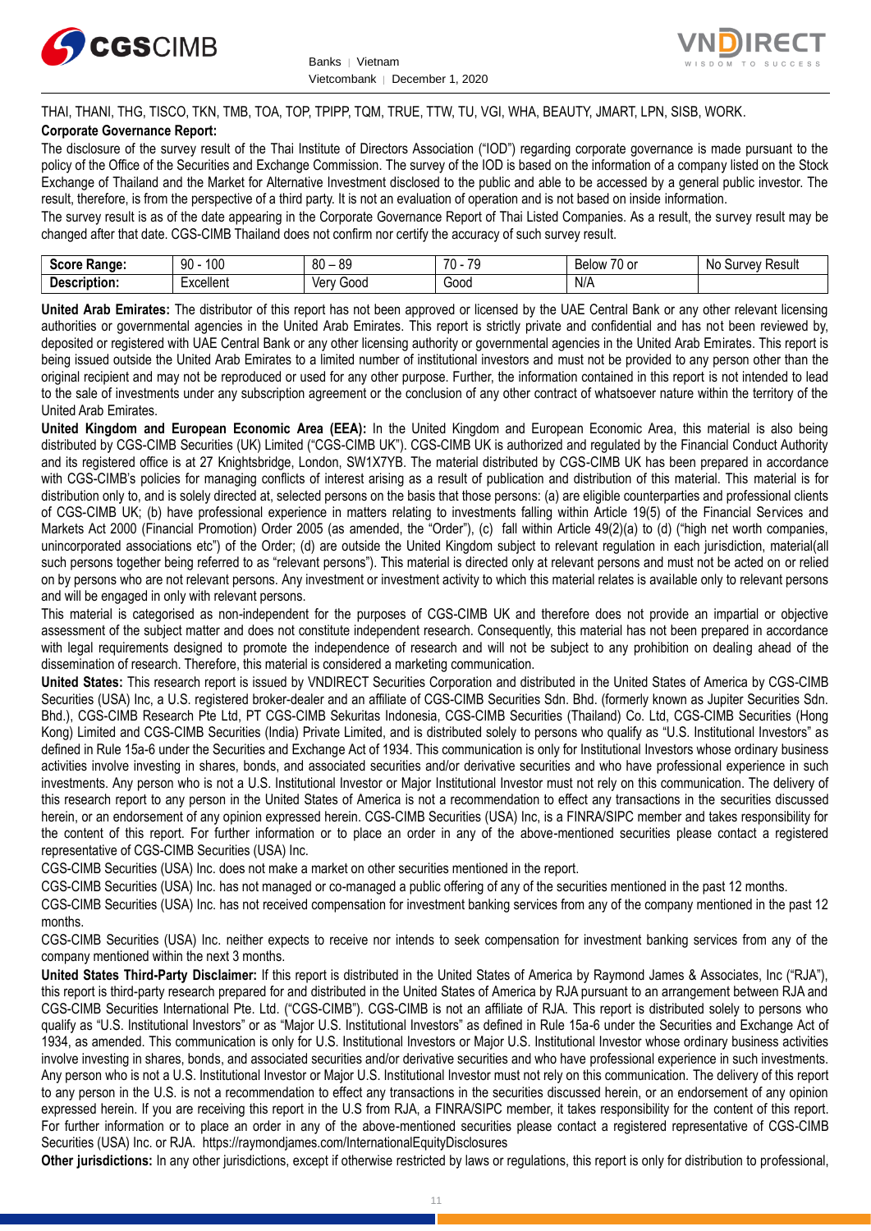



THAI, THANI, THG, TISCO, TKN, TMB, TOA, TOP, TPIPP, TQM, TRUE, TTW, TU, VGI, WHA, BEAUTY, JMART, LPN, SISB, WORK.

## **Corporate Governance Report:**

The disclosure of the survey result of the Thai Institute of Directors Association ("IOD") regarding corporate governance is made pursuant to the policy of the Office of the Securities and Exchange Commission. The survey of the IOD is based on the information of a company listed on the Stock Exchange of Thailand and the Market for Alternative Investment disclosed to the public and able to be accessed by a general public investor. The result, therefore, is from the perspective of a third party. It is not an evaluation of operation and is not based on inside information.

The survey result is as of the date appearing in the Corporate Governance Report of Thai Listed Companies. As a result, the survey result may be changed after that date. CGS-CIMB Thailand does not confirm nor certify the accuracy of such survey result.

| . .<br><b>Range:</b><br>じへへいへ<br>-015 | 100<br>۵n<br>υv      | $\Omega$<br>RΛ<br>υv<br>ت∪ | $\overline{\phantom{a}}$<br><b>70</b><br>v | $\overline{\phantom{a}}$<br>Below<br>. or<br>$\cdot$ | Result<br><b>VeV</b><br>N0<br>m<br>our |
|---------------------------------------|----------------------|----------------------------|--------------------------------------------|------------------------------------------------------|----------------------------------------|
| -<br><b>Descrip</b><br>ription:       | woollon*<br>∟∧∪∪แ∪เแ | 000خ<br>Verv               | -<br>Good                                  | N/A                                                  |                                        |

**United Arab Emirates:** The distributor of this report has not been approved or licensed by the UAE Central Bank or any other relevant licensing authorities or governmental agencies in the United Arab Emirates. This report is strictly private and confidential and has not been reviewed by, deposited or registered with UAE Central Bank or any other licensing authority or governmental agencies in the United Arab Emirates. This report is being issued outside the United Arab Emirates to a limited number of institutional investors and must not be provided to any person other than the original recipient and may not be reproduced or used for any other purpose. Further, the information contained in this report is not intended to lead to the sale of investments under any subscription agreement or the conclusion of any other contract of whatsoever nature within the territory of the United Arab Emirates.

**United Kingdom and European Economic Area (EEA):** In the United Kingdom and European Economic Area, this material is also being distributed by CGS-CIMB Securities (UK) Limited ("CGS-CIMB UK"). CGS-CIMB UK is authorized and regulated by the Financial Conduct Authority and its registered office is at 27 Knightsbridge, London, SW1X7YB. The material distributed by CGS-CIMB UK has been prepared in accordance with CGS-CIMB's policies for managing conflicts of interest arising as a result of publication and distribution of this material. This material is for distribution only to, and is solely directed at, selected persons on the basis that those persons: (a) are eligible counterparties and professional clients of CGS-CIMB UK; (b) have professional experience in matters relating to investments falling within Article 19(5) of the Financial Services and Markets Act 2000 (Financial Promotion) Order 2005 (as amended, the "Order"), (c) fall within Article 49(2)(a) to (d) ("high net worth companies, unincorporated associations etc") of the Order; (d) are outside the United Kingdom subject to relevant regulation in each jurisdiction, material(all such persons together being referred to as "relevant persons"). This material is directed only at relevant persons and must not be acted on or relied on by persons who are not relevant persons. Any investment or investment activity to which this material relates is available only to relevant persons and will be engaged in only with relevant persons.

This material is categorised as non-independent for the purposes of CGS-CIMB UK and therefore does not provide an impartial or objective assessment of the subject matter and does not constitute independent research. Consequently, this material has not been prepared in accordance with legal requirements designed to promote the independence of research and will not be subject to any prohibition on dealing ahead of the dissemination of research. Therefore, this material is considered a marketing communication.

**United States:** This research report is issued by VNDIRECT Securities Corporation and distributed in the United States of America by CGS-CIMB Securities (USA) Inc, a U.S. registered broker-dealer and an affiliate of CGS-CIMB Securities Sdn. Bhd. (formerly known as Jupiter Securities Sdn. Bhd.), CGS-CIMB Research Pte Ltd, PT CGS-CIMB Sekuritas Indonesia, CGS-CIMB Securities (Thailand) Co. Ltd, CGS-CIMB Securities (Hong Kong) Limited and CGS-CIMB Securities (India) Private Limited, and is distributed solely to persons who qualify as "U.S. Institutional Investors" as defined in Rule 15a-6 under the Securities and Exchange Act of 1934. This communication is only for Institutional Investors whose ordinary business activities involve investing in shares, bonds, and associated securities and/or derivative securities and who have professional experience in such investments. Any person who is not a U.S. Institutional Investor or Major Institutional Investor must not rely on this communication. The delivery of this research report to any person in the United States of America is not a recommendation to effect any transactions in the securities discussed herein, or an endorsement of any opinion expressed herein. CGS-CIMB Securities (USA) Inc, is a FINRA/SIPC member and takes responsibility for the content of this report. For further information or to place an order in any of the above-mentioned securities please contact a registered representative of CGS-CIMB Securities (USA) Inc.

CGS-CIMB Securities (USA) Inc. does not make a market on other securities mentioned in the report.

CGS-CIMB Securities (USA) Inc. has not managed or co-managed a public offering of any of the securities mentioned in the past 12 months.

CGS-CIMB Securities (USA) Inc. has not received compensation for investment banking services from any of the company mentioned in the past 12 months.

CGS-CIMB Securities (USA) Inc. neither expects to receive nor intends to seek compensation for investment banking services from any of the company mentioned within the next 3 months.

**United States Third-Party Disclaimer:** If this report is distributed in the United States of America by Raymond James & Associates, Inc ("RJA"), this report is third-party research prepared for and distributed in the United States of America by RJA pursuant to an arrangement between RJA and CGS-CIMB Securities International Pte. Ltd. ("CGS-CIMB"). CGS-CIMB is not an affiliate of RJA. This report is distributed solely to persons who qualify as "U.S. Institutional Investors" or as "Major U.S. Institutional Investors" as defined in Rule 15a-6 under the Securities and Exchange Act of 1934, as amended. This communication is only for U.S. Institutional Investors or Major U.S. Institutional Investor whose ordinary business activities involve investing in shares, bonds, and associated securities and/or derivative securities and who have professional experience in such investments. Any person who is not a U.S. Institutional Investor or Major U.S. Institutional Investor must not rely on this communication. The delivery of this report to any person in the U.S. is not a recommendation to effect any transactions in the securities discussed herein, or an endorsement of any opinion expressed herein. If you are receiving this report in the U.S from RJA, a FINRA/SIPC member, it takes responsibility for the content of this report. For further information or to place an order in any of the above-mentioned securities please contact a registered representative of CGS-CIMB Securities (USA) Inc. or RJA.<https://raymondjames.com/InternationalEquityDisclosures>

**Other jurisdictions:** In any other jurisdictions, except if otherwise restricted by laws or regulations, this report is only for distribution to professional,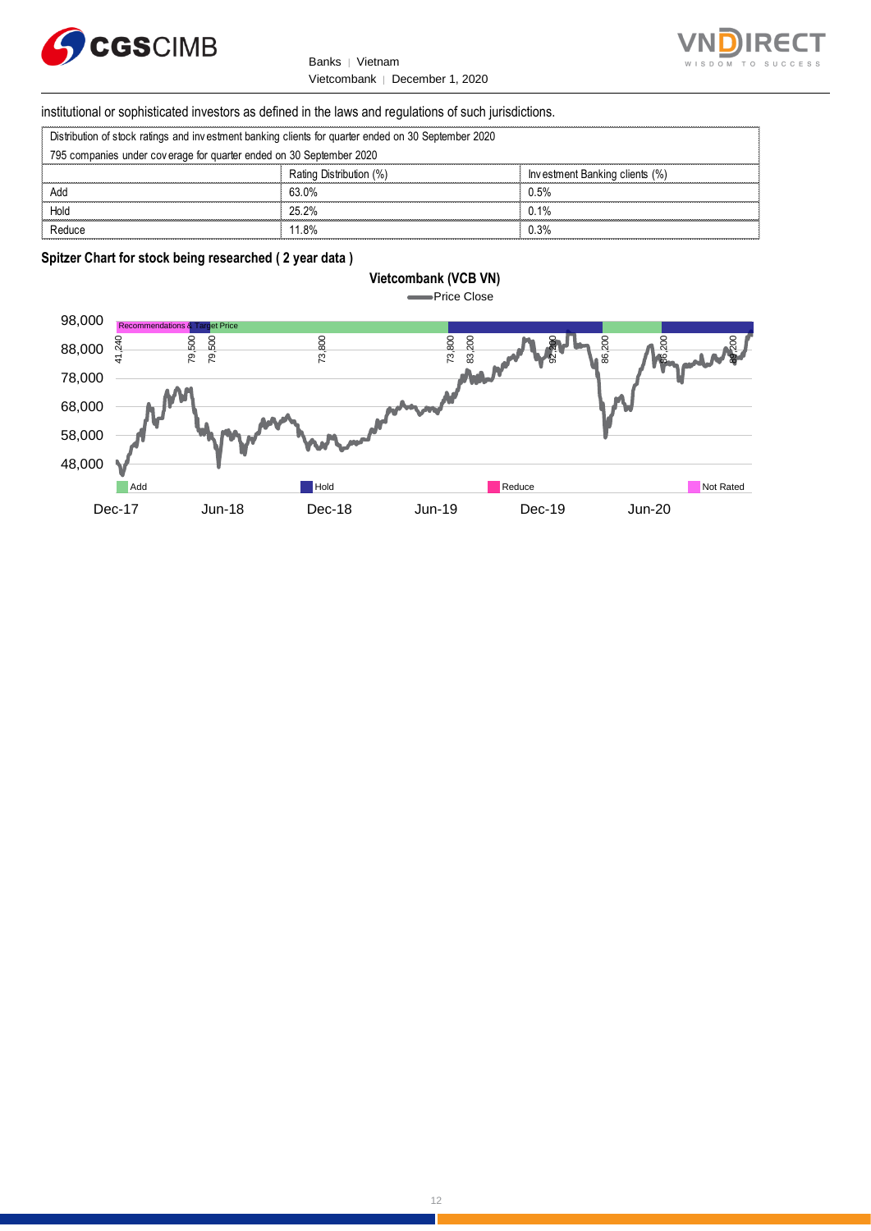



# institutional or sophisticated investors as defined in the laws and regulations of such jurisdictions. Vietcombank | December 1, 2020<br>
Stitutional or sophisticated investors as defined in the laws and regulations of such ju<br>
Distribution of stock ratings and investment banking clients for quarter ended on 30 September 2020<br>

| Distribution of stock ratings and investment banking clients for quarter ended on 30 September 2020 |  |  |
|-----------------------------------------------------------------------------------------------------|--|--|
|                                                                                                     |  |  |

| institutional or sophisticated investors as defined in the laws and regulations of such jurisdictions. |                         |                                |  |
|--------------------------------------------------------------------------------------------------------|-------------------------|--------------------------------|--|
| Distribution of stock ratings and investment banking clients for quarter ended on 30 September 2020    |                         |                                |  |
| 795 companies under coverage for quarter ended on 30 September 2020                                    |                         |                                |  |
|                                                                                                        | Rating Distribution (%) | Investment Banking clients (%) |  |
| Add                                                                                                    | 63.0%                   | 0.5%                           |  |
| Hold                                                                                                   | 25.2%                   | 0.1%                           |  |
| Reduce                                                                                                 | 11.8%                   | 0.3%                           |  |

## **Spitzer Chart for stock being researched ( 2 year data )**

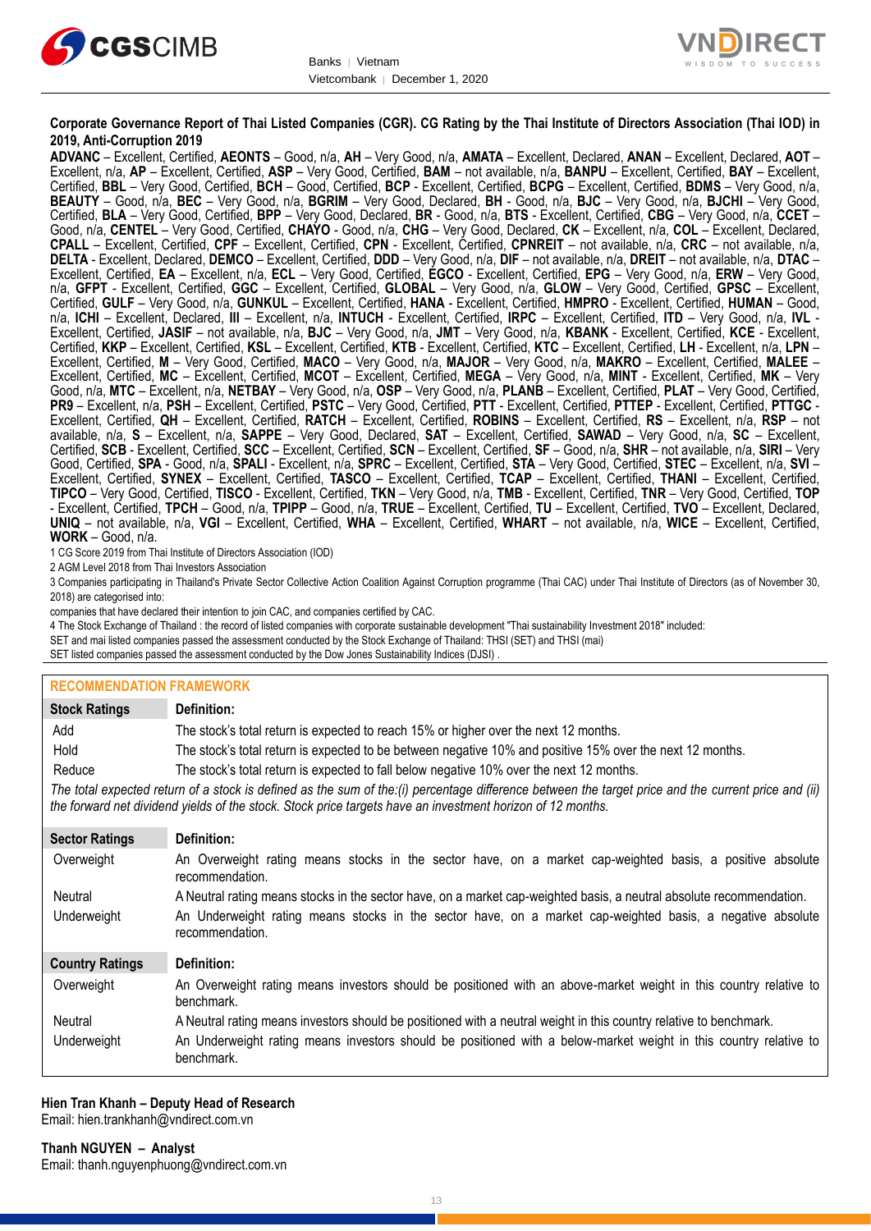



## **Corporate Governance Report of Thai Listed Companies (CGR). CG Rating by the Thai Institute of Directors Association (Thai IOD) in 2019, Anti-Corruption 2019**

**ADVANC** – Excellent, Certified, **AEONTS** – Good, n/a, **AH** – Very Good, n/a, **AMATA** – Excellent, Declared, **ANAN** – Excellent, Declared, **AOT** – Excellent, n/a, **AP** – Excellent, Certified, **ASP** – Very Good, Certified, **BAM** – not available, n/a, **BANPU** – Excellent, Certified, **BAY** – Excellent, Certified, **BBL** – Very Good, Certified, **BCH** – Good, Certified, **BCP** - Excellent, Certified, **BCPG** – Excellent, Certified, **BDMS** – Very Good, n/a, **BEAUTY** – Good, n/a, **BEC** – Very Good, n/a, **BGRIM** – Very Good, Declared, **BH** - Good, n/a, **BJC** – Very Good, n/a, **BJCHI** – Very Good, Certified, **BLA** – Very Good, Certified, **BPP** – Very Good, Declared, **BR** - Good, n/a, **BTS** - Excellent, Certified, **CBG** – Very Good, n/a, **CCET** – Good, n/a, **CENTEL** – Very Good, Certified, **CHAYO** - Good, n/a, **CHG** – Very Good, Declared, **CK** – Excellent, n/a, **COL** – Excellent, Declared, **CPALL** – Excellent, Certified, **CPF** – Excellent, Certified, **CPN** - Excellent, Certified, **CPNREIT** – not available, n/a, **CRC** – not available, n/a, **DELTA** - Excellent, Declared, **DEMCO** – Excellent, Certified, **DDD** – Very Good, n/a, **DIF** – not available, n/a, **DREIT** – not available, n/a, **DTAC** – Excellent, Certified, **EA** – Excellent, n/a, **ECL** – Very Good, Certified, **EGCO** - Excellent, Certified, **EPG** – Very Good, n/a, **ERW** – Very Good, n/a, **GFPT** - Excellent, Certified, **GGC** – Excellent, Certified, **GLOBAL** – Very Good, n/a, **GLOW** – Very Good, Certified, **GPSC** – Excellent, Certified, **GULF** – Very Good, n/a, **GUNKUL** – Excellent, Certified, **HANA** - Excellent, Certified, **HMPRO** - Excellent, Certified, **HUMAN** – Good, n/a, **ICHI** – Excellent, Declared, **III** – Excellent, n/a, **INTUCH** - Excellent, Certified, **IRPC** – Excellent, Certified, **ITD** – Very Good, n/a, **IVL** - Excellent, Certified, **JASIF** – not available, n/a, **BJC** – Very Good, n/a, **JMT** – Very Good, n/a, **KBANK** - Excellent, Certified, **KCE** - Excellent, Certified, **KKP** – Excellent, Certified, **KSL** – Excellent, Certified, **KTB** - Excellent, Certified, **KTC** – Excellent, Certified, **LH** - Excellent, n/a, **LPN** – Excellent, Certified, **M** – Very Good, Certified, **MACO** – Very Good, n/a, **MAJOR** – Very Good, n/a, **MAKRO** – Excellent, Certified, **MALEE** – Excellent, Certified, **MC** – Excellent, Certified, **MCOT** – Excellent, Certified, **MEGA** – Very Good, n/a, **MINT** - Excellent, Certified, **MK** – Very Good, n/a, **MTC** – Excellent, n/a, **NETBAY** – Very Good, n/a, **OSP** – Very Good, n/a, **PLANB** – Excellent, Certified, **PLAT** – Very Good, Certified, **PR9** – Excellent, n/a, **PSH** – Excellent, Certified, **PSTC** – Very Good, Certified, **PTT** - Excellent, Certified, **PTTEP** - Excellent, Certified, **PTTGC** - Excellent, Certified, **QH** – Excellent, Certified, **RATCH** – Excellent, Certified, **ROBINS** – Excellent, Certified, **RS** – Excellent, n/a, **RSP** – not available, n/a, **S** – Excellent, n/a, **SAPPE** – Very Good, Declared, **SAT** – Excellent, Certified, **SAWAD** – Very Good, n/a, **SC** – Excellent, Certified, **SCB** - Excellent, Certified, **SCC** – Excellent, Certified, **SCN** – Excellent, Certified, **SF** – Good, n/a, **SHR** – not available, n/a, **SIRI** – Very Good, Certified, **SPA** - Good, n/a, **SPALI** - Excellent, n/a, **SPRC** – Excellent, Certified, **STA** – Very Good, Certified, **STEC** – Excellent, n/a, **SVI** – Excellent, Certified, **SYNEX** – Excellent, Certified, **TASCO** – Excellent, Certified, **TCAP** – Excellent, Certified, **THANI** – Excellent, Certified, **TIPCO** – Very Good, Certified, **TISCO** - Excellent, Certified, **TKN** – Very Good, n/a, **TMB** - Excellent, Certified, **TNR** – Very Good, Certified, **TOP** - Excellent, Certified, **TPCH** – Good, n/a, **TPIPP** – Good, n/a, **TRUE** – Excellent, Certified, **TU** – Excellent, Certified, **TVO** – Excellent, Declared, **UNIQ** – not available, n/a, **VGI** – Excellent, Certified, **WHA** – Excellent, Certified, **WHART** – not available, n/a, **WICE** – Excellent, Certified, **WORK** – Good, n/a.

1 CG Score 2019 from Thai Institute of Directors Association (IOD)

2 AGM Level 2018 from Thai Investors Association

3 Companies participating in Thailand's Private Sector Collective Action Coalition Against Corruption programme (Thai CAC) under Thai Institute of Directors (as of November 30, 2018) are categorised into:

companies that have declared their intention to join CAC, and companies certified by CAC.

4 [The Stock Exchange of Thailand : the record of listed companies with corporate sustainable development "Thai sustainability Investment 2018" included:](http://www.set.or.th/sustainable_dev/en/sr/sri/tsi_p1.html)

SET and mai listed companies passed the assessment conducted by the Stock Exchange of Thailand: THSI (SET) and THSI (mai)

SET listed companies passed the assessment conducted by the Dow Jones Sustainability Indices (DJSI)

## **RECOMMENDATION FRAMEWORK**

| <b>Stock Ratings</b>   | Definition:                                                                                                                                                                                                                                                       |
|------------------------|-------------------------------------------------------------------------------------------------------------------------------------------------------------------------------------------------------------------------------------------------------------------|
| Add                    | The stock's total return is expected to reach 15% or higher over the next 12 months.                                                                                                                                                                              |
| Hold                   | The stock's total return is expected to be between negative 10% and positive 15% over the next 12 months.                                                                                                                                                         |
| Reduce                 | The stock's total return is expected to fall below negative 10% over the next 12 months.                                                                                                                                                                          |
|                        | The total expected return of a stock is defined as the sum of the:(i) percentage difference between the target price and the current price and (ii)<br>the forward net dividend yields of the stock. Stock price targets have an investment horizon of 12 months. |
| <b>Sector Ratings</b>  | Definition:                                                                                                                                                                                                                                                       |
| Overweight             | An Overweight rating means stocks in the sector have, on a market cap-weighted basis, a positive absolute<br>recommendation.                                                                                                                                      |
| Neutral                | A Neutral rating means stocks in the sector have, on a market cap-weighted basis, a neutral absolute recommendation.                                                                                                                                              |
| Underweight            | An Underweight rating means stocks in the sector have, on a market cap-weighted basis, a negative absolute<br>recommendation.                                                                                                                                     |
| <b>Country Ratings</b> | Definition:                                                                                                                                                                                                                                                       |
| Overweight             | An Overweight rating means investors should be positioned with an above-market weight in this country relative to<br>benchmark.                                                                                                                                   |
| Neutral                | A Neutral rating means investors should be positioned with a neutral weight in this country relative to benchmark.                                                                                                                                                |
| Underweight            | An Underweight rating means investors should be positioned with a below-market weight in this country relative to<br>benchmark.                                                                                                                                   |

#### **Hien Tran Khanh – Deputy Head of Research** Email: [hien.trankhanh@vndirect.com.vn](mailto:hien.trankhanh@vndirect.com.vn)

**Thanh NGUYEN – Analyst**

Email: [thanh.nguyenphuong@vndirect.com.vn](mailto:thanh.nguyenphuong@vndirect.com.vn)